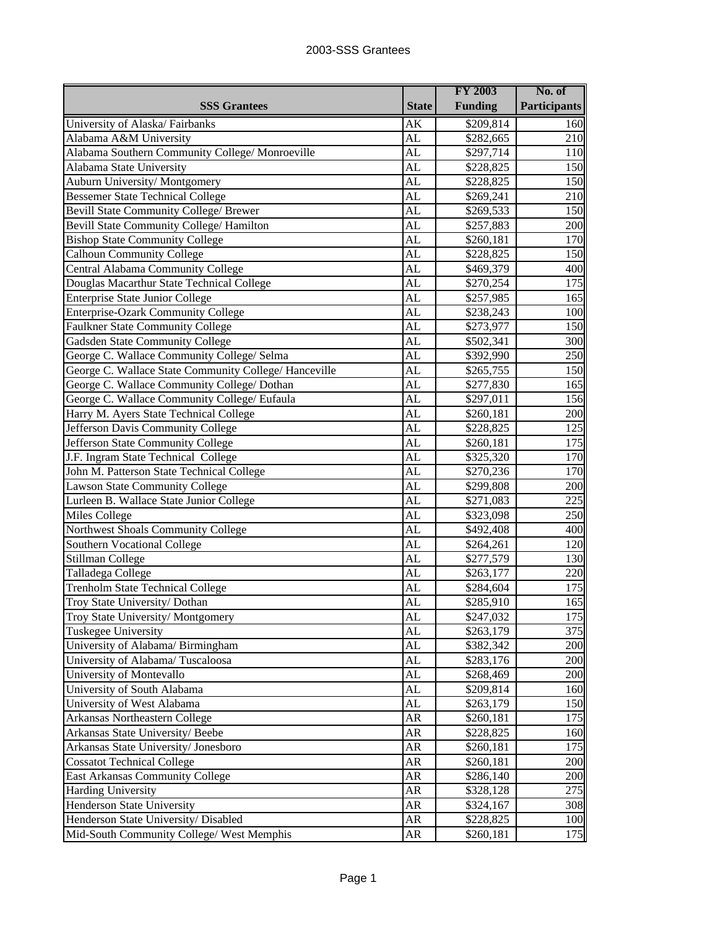|                                                       |              | <b>FY 2003</b>        | No. of              |
|-------------------------------------------------------|--------------|-----------------------|---------------------|
| <b>SSS Grantees</b>                                   | <b>State</b> | <b>Funding</b>        | <b>Participants</b> |
| University of Alaska/Fairbanks                        | AK           | \$209,814             | 160                 |
| Alabama A&M University                                | AL           | \$282,665             | 210                 |
| Alabama Southern Community College/ Monroeville       | AL           | \$297,714             | 110                 |
| Alabama State University                              | AL           | \$228,825             | 150                 |
| Auburn University/Montgomery                          | AL           | \$228,825             | 150                 |
| <b>Bessemer State Technical College</b>               | AL           | \$269,241             | 210                 |
| <b>Bevill State Community College/ Brewer</b>         | AL           | \$269,533             | 150                 |
| Bevill State Community College/ Hamilton              | AL           | \$257,883             | 200                 |
| <b>Bishop State Community College</b>                 | AL           | \$260,181             | 170                 |
| <b>Calhoun Community College</b>                      | AL           | $\overline{$}228,825$ | 150                 |
| Central Alabama Community College                     | AL           | \$469,379             | 400                 |
| Douglas Macarthur State Technical College             | AL           | \$270,254             | 175                 |
| <b>Enterprise State Junior College</b>                | AL           | \$257,985             | 165                 |
| Enterprise-Ozark Community College                    | AL           | \$238,243             | 100                 |
| <b>Faulkner State Community College</b>               | AL           | \$273,977             | 150                 |
| Gadsden State Community College                       | AL           | \$502,341             | 300                 |
| George C. Wallace Community College/ Selma            | AL           | \$392,990             | 250                 |
| George C. Wallace State Community College/ Hanceville | AL           | \$265,755             | 150                 |
| George C. Wallace Community College/ Dothan           | AL           | \$277,830             | 165                 |
| George C. Wallace Community College/ Eufaula          | AL           | \$297,011             | 156                 |
| Harry M. Ayers State Technical College                | AL           | \$260,181             | 200                 |
| Jefferson Davis Community College                     | AL           | \$228,825             | 125                 |
| Jefferson State Community College                     | AL           | \$260,181             | 175                 |
| J.F. Ingram State Technical College                   | AL           | \$325,320             | 170                 |
| John M. Patterson State Technical College             | AL           | \$270,236             | 170                 |
| <b>Lawson State Community College</b>                 | AL           | \$299,808             | 200                 |
| Lurleen B. Wallace State Junior College               | AL           | \$271,083             | 225                 |
| Miles College                                         | AL           | \$323,098             | 250                 |
| Northwest Shoals Community College                    | AL           | \$492,408             | 400                 |
| <b>Southern Vocational College</b>                    | AL           | \$264,261             | 120                 |
| Stillman College                                      | AL           | \$277,579             | 130                 |
| Talladega College                                     | AL           | \$263,177             | 220                 |
| <b>Trenholm State Technical College</b>               | AL           | \$284,604             | 175                 |
| Troy State University/ Dothan                         | AL           | \$285,910             | 165                 |
| Troy State University/Montgomery                      | AL           | \$247,032             | 175                 |
| Tuskegee University                                   | AL           | \$263,179             | 375                 |
| University of Alabama/ Birmingham                     | AL           | \$382,342             | 200                 |
| University of Alabama/Tuscaloosa                      | AL           | \$283,176             | 200                 |
| University of Montevallo                              | AL           | \$268,469             | 200                 |
| University of South Alabama                           | AL           | \$209,814             | 160                 |
| University of West Alabama                            | AL           | \$263,179             | 150                 |
| Arkansas Northeastern College                         | AR           | \$260,181             | 175                 |
| Arkansas State University/Beebe                       | AR           | \$228,825             | 160                 |
| Arkansas State University/ Jonesboro                  | AR           | \$260,181             | 175                 |
| <b>Cossatot Technical College</b>                     | AR           | \$260,181             | 200                 |
| East Arkansas Community College                       | AR           | \$286,140             | 200                 |
| <b>Harding University</b>                             | AR           | \$328,128             | 275                 |
| Henderson State University                            | AR           | \$324,167             | 308                 |
| Henderson State University/ Disabled                  | AR           | \$228,825             | 100                 |
| Mid-South Community College/ West Memphis             | AR           | \$260,181             | 175                 |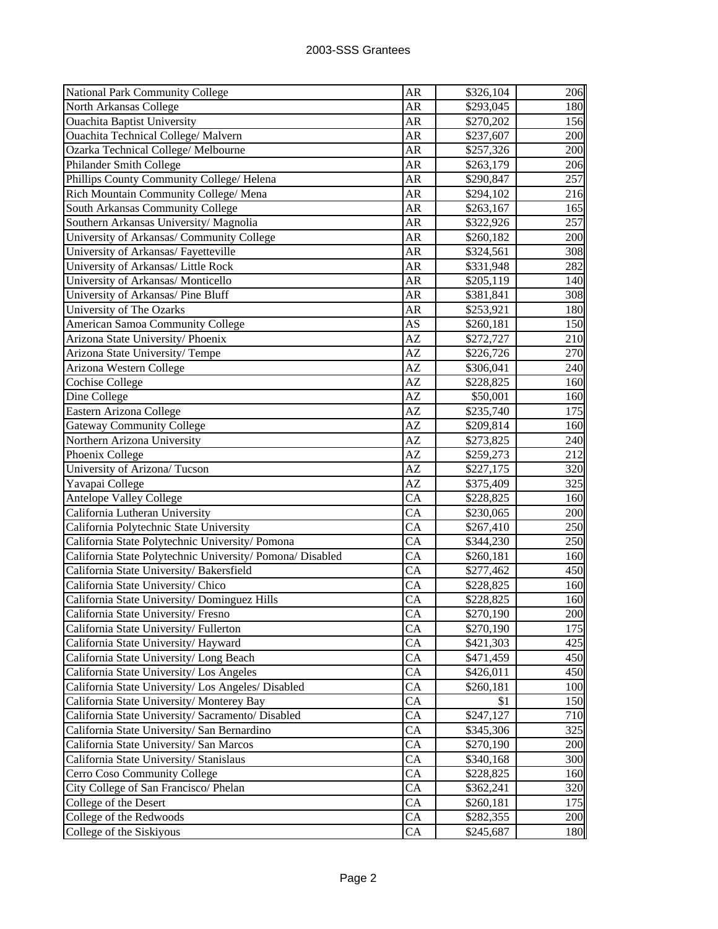| National Park Community College                           | AR        | \$326,104             | 206 |
|-----------------------------------------------------------|-----------|-----------------------|-----|
| North Arkansas College                                    | AR        | \$293,045             | 180 |
| <b>Ouachita Baptist University</b>                        | AR        | \$270,202             | 156 |
| Ouachita Technical College/Malvern                        | AR        | \$237,607             | 200 |
| Ozarka Technical College/ Melbourne                       | AR        | \$257,326             | 200 |
| Philander Smith College                                   | AR        | \$263,179             | 206 |
| Phillips County Community College/ Helena                 | AR        | \$290,847             | 257 |
| Rich Mountain Community College/ Mena                     | <b>AR</b> | \$294,102             | 216 |
| South Arkansas Community College                          | <b>AR</b> | \$263,167             | 165 |
| Southern Arkansas University/ Magnolia                    | AR        | \$322,926             | 257 |
| University of Arkansas/ Community College                 | <b>AR</b> | \$260,182             | 200 |
| University of Arkansas/ Fayetteville                      | AR        | \$324,561             | 308 |
| University of Arkansas/ Little Rock                       | AR        | \$331,948             | 282 |
| University of Arkansas/ Monticello                        | AR        | \$205,119             | 140 |
| University of Arkansas/ Pine Bluff                        | AR        | \$381,841             | 308 |
| University of The Ozarks                                  | AR        | \$253,921             | 180 |
| American Samoa Community College                          | AS        | \$260,181             | 150 |
| Arizona State University/ Phoenix                         | AZ        | \$272,727             | 210 |
| Arizona State University/Tempe                            | AZ        | \$226,726             | 270 |
| Arizona Western College                                   | AZ        | \$306,041             | 240 |
| <b>Cochise College</b>                                    | AZ        | \$228,825             | 160 |
| Dine College                                              | AZ        | \$50,001              | 160 |
| Eastern Arizona College                                   | AZ        | \$235,740             | 175 |
| <b>Gateway Community College</b>                          | AZ        | \$209,814             | 160 |
| Northern Arizona University                               | AZ        | \$273,825             | 240 |
| Phoenix College                                           | AZ        | \$259,273             | 212 |
| University of Arizona/Tucson                              | AZ        | \$227,175             | 320 |
| Yavapai College                                           | AZ        | \$375,409             | 325 |
| Antelope Valley College                                   | CA        | \$228,825             | 160 |
| California Lutheran University                            | <b>CA</b> | \$230,065             | 200 |
| California Polytechnic State University                   | <b>CA</b> | \$267,410             | 250 |
| California State Polytechnic University/ Pomona           | <b>CA</b> | \$344,230             | 250 |
| California State Polytechnic University/ Pomona/ Disabled | CA        | \$260,181             | 160 |
| California State University/ Bakersfield                  | CA        | \$277,462             | 450 |
| California State University/ Chico                        | CA        | \$228,825             | 160 |
| California State University/ Dominguez Hills              | CA        | \$228,825             | 160 |
| California State University/ Fresno                       | CA        | \$270,190             | 200 |
| California State University/Fullerton                     | CA        | \$270,190             | 175 |
| California State University/ Hayward                      | CA        | \$421,303             | 425 |
| California State University/ Long Beach                   | CA        | \$471,459             | 450 |
| California State University/ Los Angeles                  | CA        | \$426,011             | 450 |
| California State University/ Los Angeles/ Disabled        | CA        | \$260,181             | 100 |
| California State University/ Monterey Bay                 | CA        | \$1                   | 150 |
| California State University/ Sacramento/ Disabled         | CA        | $\overline{$}247,127$ | 710 |
| California State University/ San Bernardino               | CA        | \$345,306             | 325 |
| California State University/ San Marcos                   | CA        | \$270,190             | 200 |
| California State University/ Stanislaus                   | CA        | \$340,168             | 300 |
| Cerro Coso Community College                              | CA        | \$228,825             | 160 |
| City College of San Francisco/ Phelan                     | CA        | \$362,241             | 320 |
| College of the Desert                                     | CA        | \$260,181             | 175 |
| College of the Redwoods                                   | CA        | \$282,355             | 200 |
| College of the Siskiyous                                  | CA        | \$245,687             | 180 |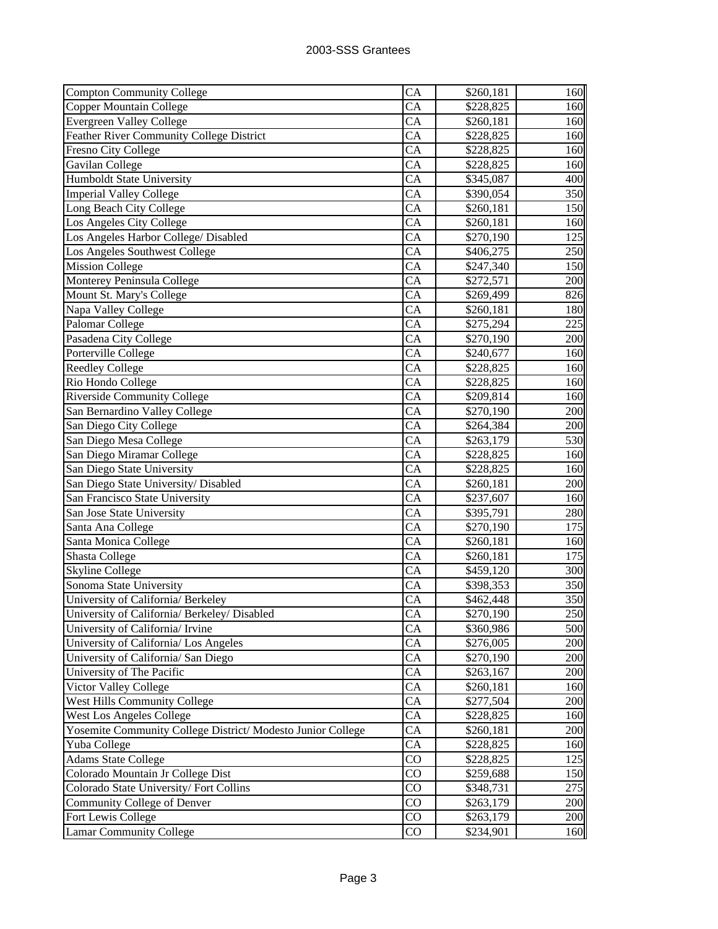| <b>Compton Community College</b>                            | CA                     | \$260,181 | 160 |
|-------------------------------------------------------------|------------------------|-----------|-----|
| Copper Mountain College                                     | CA                     | \$228,825 | 160 |
| <b>Evergreen Valley College</b>                             | CA                     | \$260,181 | 160 |
| <b>Feather River Community College District</b>             | CA                     | \$228,825 | 160 |
| Fresno City College                                         | <b>CA</b>              | \$228,825 | 160 |
| Gavilan College                                             | <b>CA</b>              | \$228,825 | 160 |
| <b>Humboldt State University</b>                            | <b>CA</b>              | \$345,087 | 400 |
| <b>Imperial Valley College</b>                              | <b>CA</b>              | \$390,054 | 350 |
| Long Beach City College                                     | <b>CA</b>              | \$260,181 | 150 |
| Los Angeles City College                                    | CA                     | \$260,181 | 160 |
| Los Angeles Harbor College/ Disabled                        | <b>CA</b>              | \$270,190 | 125 |
| Los Angeles Southwest College                               | <b>CA</b>              | \$406,275 | 250 |
| <b>Mission College</b>                                      | <b>CA</b>              | \$247,340 | 150 |
| Monterey Peninsula College                                  | <b>CA</b>              | \$272,571 | 200 |
| Mount St. Mary's College                                    | <b>CA</b>              | \$269,499 | 826 |
| Napa Valley College                                         | <b>CA</b>              | \$260,181 | 180 |
| Palomar College                                             | <b>CA</b>              | \$275,294 | 225 |
| Pasadena City College                                       | <b>CA</b>              | \$270,190 | 200 |
| Porterville College                                         | CA                     | \$240,677 | 160 |
| <b>Reedley College</b>                                      | CA                     | \$228,825 | 160 |
| Rio Hondo College                                           | <b>CA</b>              | \$228,825 | 160 |
| <b>Riverside Community College</b>                          | <b>CA</b>              | \$209,814 | 160 |
| San Bernardino Valley College                               | <b>CA</b>              | \$270,190 | 200 |
| San Diego City College                                      | <b>CA</b>              | \$264,384 | 200 |
| San Diego Mesa College                                      | <b>CA</b>              | \$263,179 | 530 |
| San Diego Miramar College                                   | CA                     | \$228,825 | 160 |
| San Diego State University                                  | <b>CA</b>              | \$228,825 | 160 |
| San Diego State University/ Disabled                        | CA                     | \$260,181 | 200 |
| San Francisco State University                              | <b>CA</b>              | \$237,607 | 160 |
| San Jose State University                                   | <b>CA</b>              | \$395,791 | 280 |
| Santa Ana College                                           | <b>CA</b>              | \$270,190 | 175 |
| Santa Monica College                                        | CA                     | \$260,181 | 160 |
| <b>Shasta College</b>                                       | <b>CA</b>              | \$260,181 | 175 |
| <b>Skyline College</b>                                      | <b>CA</b>              | \$459,120 | 300 |
| Sonoma State University                                     | <b>CA</b>              | \$398,353 | 350 |
| University of California/ Berkeley                          | <b>CA</b>              | \$462,448 | 350 |
| University of California/ Berkeley/ Disabled                | СA                     | \$270,190 | 250 |
| University of California/ Irvine                            | CA                     | \$360,986 | 500 |
| University of California/ Los Angeles                       | CA                     | \$276,005 | 200 |
| University of California/ San Diego                         | CA                     | \$270,190 | 200 |
| University of The Pacific                                   | CA                     | \$263,167 | 200 |
| Victor Valley College                                       | CA                     | \$260,181 | 160 |
| <b>West Hills Community College</b>                         | CA                     | \$277,504 | 200 |
| <b>West Los Angeles College</b>                             | CA                     | \$228,825 | 160 |
| Yosemite Community College District/ Modesto Junior College | CA                     | \$260,181 | 200 |
| Yuba College                                                | <b>CA</b>              | \$228,825 | 160 |
| <b>Adams State College</b>                                  | $\overline{\text{CO}}$ | \$228,825 | 125 |
| Colorado Mountain Jr College Dist                           | $\overline{\text{CO}}$ | \$259,688 | 150 |
| Colorado State University/Fort Collins                      | $\overline{C}O$        | \$348,731 | 275 |
| Community College of Denver                                 | $\overline{C}O$        | \$263,179 | 200 |
| Fort Lewis College                                          | $\rm CO$               | \$263,179 | 200 |
| <b>Lamar Community College</b>                              | $\rm CO$               | \$234,901 | 160 |
|                                                             |                        |           |     |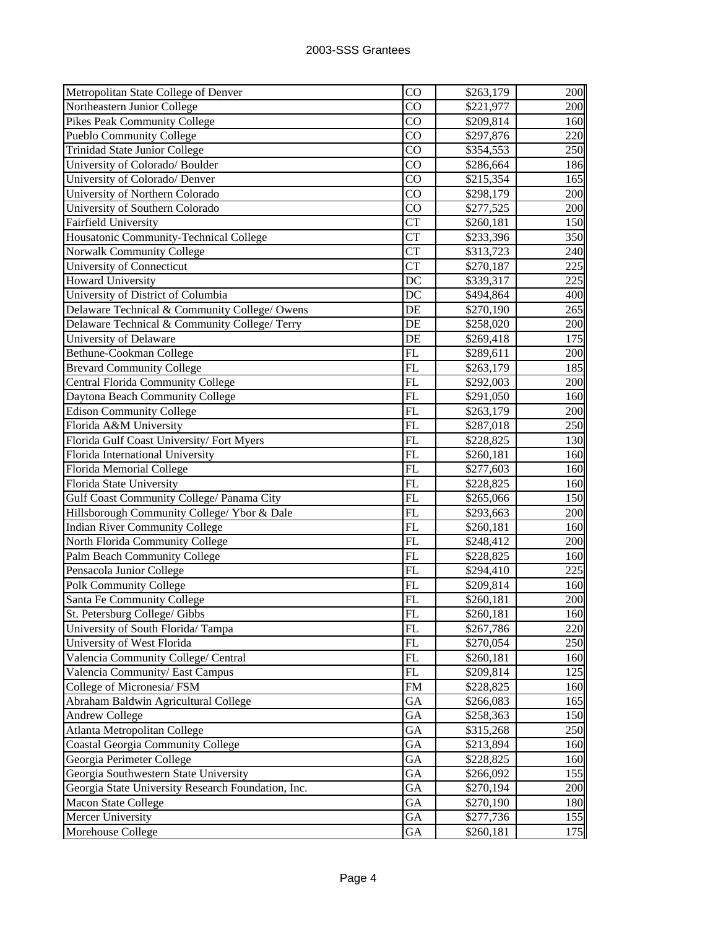| Metropolitan State College of Denver               | CO              | \$263,179             | 200 |
|----------------------------------------------------|-----------------|-----------------------|-----|
| Northeastern Junior College                        | $\rm CO$        | \$221,977             | 200 |
| <b>Pikes Peak Community College</b>                | $\overline{C}O$ | \$209,814             | 160 |
| <b>Pueblo Community College</b>                    | $\overline{C}O$ | \$297,876             | 220 |
| <b>Trinidad State Junior College</b>               | $\rm CO$        | \$354,553             | 250 |
| University of Colorado/ Boulder                    | $\overline{C}O$ | \$286,664             | 186 |
| University of Colorado/ Denver                     | $\overline{C}O$ | \$215,354             | 165 |
| University of Northern Colorado                    | $\overline{C}O$ | \$298,179             | 200 |
| University of Southern Colorado                    | $\overline{C}O$ | \$277,525             | 200 |
| Fairfield University                               | <b>CT</b>       | \$260,181             | 150 |
| Housatonic Community-Technical College             | <b>CT</b>       | \$233,396             | 350 |
| Norwalk Community College                          | <b>CT</b>       | \$313,723             | 240 |
| University of Connecticut                          | <b>CT</b>       | \$270,187             | 225 |
| <b>Howard University</b>                           | DC              | \$339,317             | 225 |
| University of District of Columbia                 | DC              | \$494,864             | 400 |
| Delaware Technical & Community College/ Owens      | DE              | \$270,190             | 265 |
| Delaware Technical & Community College/Terry       | DE              | \$258,020             | 200 |
| University of Delaware                             | DE              | \$269,418             | 175 |
| Bethune-Cookman College                            | FL              | \$289,611             | 200 |
| <b>Brevard Community College</b>                   | $\overline{FL}$ | \$263,179             | 185 |
| <b>Central Florida Community College</b>           | FL              | \$292,003             | 200 |
| Daytona Beach Community College                    | FL              | \$291,050             | 160 |
| <b>Edison Community College</b>                    | FL              | \$263,179             | 200 |
| Florida A&M University                             | FL              | \$287,018             | 250 |
| Florida Gulf Coast University/Fort Myers           | FL              | \$228,825             | 130 |
| Florida International University                   | FL              | \$260,181             | 160 |
| Florida Memorial College                           | FL              | \$277,603             | 160 |
| Florida State University                           | FL              | \$228,825             | 160 |
| Gulf Coast Community College/ Panama City          | FL              | \$265,066             | 150 |
| Hillsborough Community College/ Ybor & Dale        | FL              | $\overline{$293,663}$ | 200 |
| Indian River Community College                     | $\overline{FL}$ | \$260,181             | 160 |
| North Florida Community College                    | FL              | \$248,412             | 200 |
| Palm Beach Community College                       | FL              | \$228,825             | 160 |
| Pensacola Junior College                           | FL              | \$294,410             | 225 |
| <b>Polk Community College</b>                      | $\overline{FL}$ | \$209,814             | 160 |
| Santa Fe Community College                         | FL              | \$260,181             | 200 |
| St. Petersburg College/ Gibbs                      | $\overline{FL}$ | \$260,181             | 160 |
| University of South Florida/Tampa                  | FL              | \$267,786             | 220 |
| University of West Florida                         | FL              | \$270,054             | 250 |
| Valencia Community College/ Central                | FL              | \$260,181             | 160 |
| Valencia Community/ East Campus                    | FL              | \$209,814             | 125 |
| College of Micronesia/ FSM                         | <b>FM</b>       | \$228,825             | 160 |
| Abraham Baldwin Agricultural College               | GA              | \$266,083             | 165 |
| <b>Andrew College</b>                              | GA              | \$258,363             | 150 |
| Atlanta Metropolitan College                       | GA              | \$315,268             | 250 |
| <b>Coastal Georgia Community College</b>           | GA              | \$213,894             | 160 |
| Georgia Perimeter College                          | GA              | \$228,825             | 160 |
| Georgia Southwestern State University              | GA              | \$266,092             | 155 |
| Georgia State University Research Foundation, Inc. | GA              | \$270,194             | 200 |
| Macon State College                                | GA              | \$270,190             | 180 |
| Mercer University                                  | GA              | \$277,736             | 155 |
| Morehouse College                                  | GA              | \$260,181             | 175 |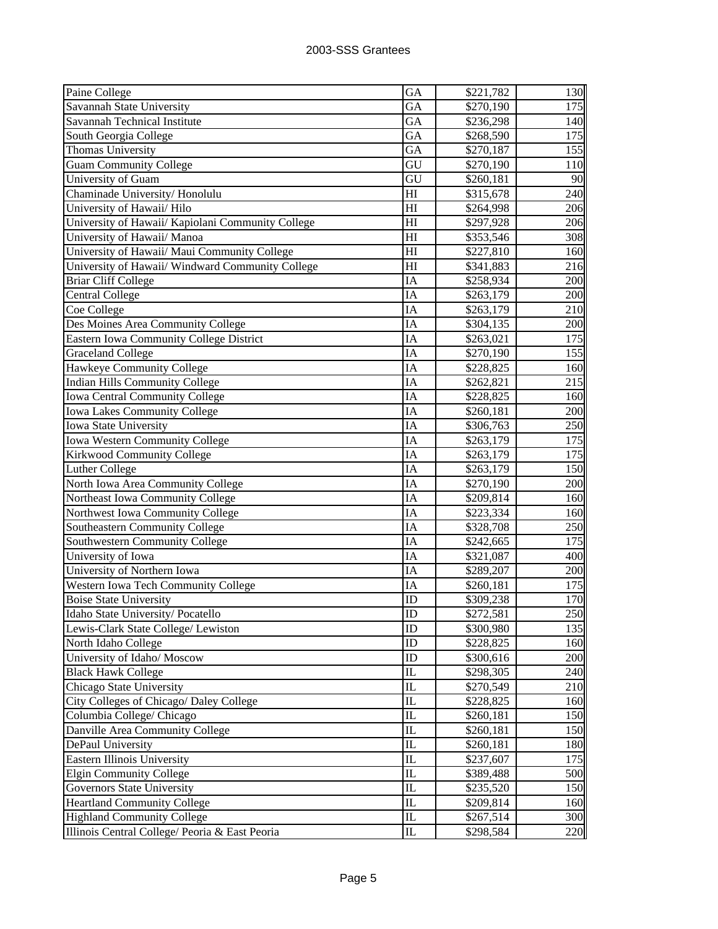| Paine College                                     | GA                              | \$221,782 | 130   |
|---------------------------------------------------|---------------------------------|-----------|-------|
| Savannah State University                         | GA                              | \$270,190 | 175   |
| Savannah Technical Institute                      | GA                              | \$236,298 | 140   |
| South Georgia College                             | GA                              | \$268,590 | 175   |
| Thomas University                                 | GA                              | \$270,187 | 155   |
| <b>Guam Community College</b>                     | GU                              | \$270,190 | 110   |
| University of Guam                                | GU                              | \$260,181 | 90    |
| Chaminade University/Honolulu                     | H1                              | \$315,678 | 240   |
| University of Hawaii/ Hilo                        | H <sub>I</sub>                  | \$264,998 | 206   |
| University of Hawaii/ Kapiolani Community College | H <sub>I</sub>                  | \$297,928 | 206   |
| University of Hawaii/ Manoa                       | $\overline{H}$                  | \$353,546 | 308   |
| University of Hawaii/ Maui Community College      | H1                              | \$227,810 | 160   |
| University of Hawaii/ Windward Community College  | H <sub>I</sub>                  | \$341,883 | 216   |
| <b>Briar Cliff College</b>                        | IA                              | \$258,934 | 200   |
| <b>Central College</b>                            | IA                              | \$263,179 | 200   |
| Coe College                                       | IA                              | \$263,179 | 210   |
| Des Moines Area Community College                 | IA                              | \$304,135 | 200   |
| <b>Eastern Iowa Community College District</b>    | IA                              | \$263,021 | 175   |
| <b>Graceland College</b>                          | IA                              | \$270,190 | 155   |
| Hawkeye Community College                         | IA                              | \$228,825 | 160   |
| Indian Hills Community College                    | IA                              | \$262,821 | 215   |
| <b>Iowa Central Community College</b>             | IA                              | \$228,825 | 160   |
| Iowa Lakes Community College                      | IA                              | \$260,181 | 200   |
| Iowa State University                             | IA                              | \$306,763 | 250   |
| Iowa Western Community College                    | IA                              | \$263,179 | 175   |
| <b>Kirkwood Community College</b>                 | IA                              | \$263,179 | 175   |
| <b>Luther College</b>                             | IA                              | \$263,179 | 150   |
| North Iowa Area Community College                 | IA                              | \$270,190 | 200   |
| Northeast Iowa Community College                  | IA                              | \$209,814 | 160   |
| Northwest Iowa Community College                  | IA                              | \$223,334 | 160   |
| Southeastern Community College                    | IA                              | \$328,708 | 250   |
| <b>Southwestern Community College</b>             | IA                              | \$242,665 | 175   |
| University of Iowa                                | IA                              | \$321,087 | 400   |
| University of Northern Iowa                       | IA                              | \$289,207 | 200   |
| Western Iowa Tech Community College               | IA                              | \$260,181 | 175   |
| <b>Boise State University</b>                     | ID                              | \$309,238 | 170   |
| Idaho State University/Pocatello                  | ID                              | \$272,581 | 250II |
| Lewis-Clark State College/ Lewiston               | ID                              | \$300,980 | 135   |
| North Idaho College                               | ID                              | \$228,825 | 160   |
| University of Idaho/ Moscow                       | ID                              | \$300,616 | 200   |
| <b>Black Hawk College</b>                         | IL                              | \$298,305 | 240   |
| Chicago State University                          | $\mathbf{I}$                    | \$270,549 | 210   |
| City Colleges of Chicago/ Daley College           | IL                              | \$228,825 | 160   |
| Columbia College/ Chicago                         | IL                              | \$260,181 | 150   |
| Danville Area Community College                   | IL                              | \$260,181 | 150   |
| DePaul University                                 | IL                              | \$260,181 | 180   |
| Eastern Illinois University                       | IL                              | \$237,607 | 175   |
| <b>Elgin Community College</b>                    | IL                              | \$389,488 | 500   |
| Governors State University                        | IL                              | \$235,520 | 150   |
| <b>Heartland Community College</b>                | $_{\rm IL}$                     | \$209,814 | 160   |
| <b>Highland Community College</b>                 | $\mathbf{I}$                    | \$267,514 | 300   |
| Illinois Central College/ Peoria & East Peoria    | $\mathop{\mathrm{IL}}\nolimits$ | \$298,584 | 220   |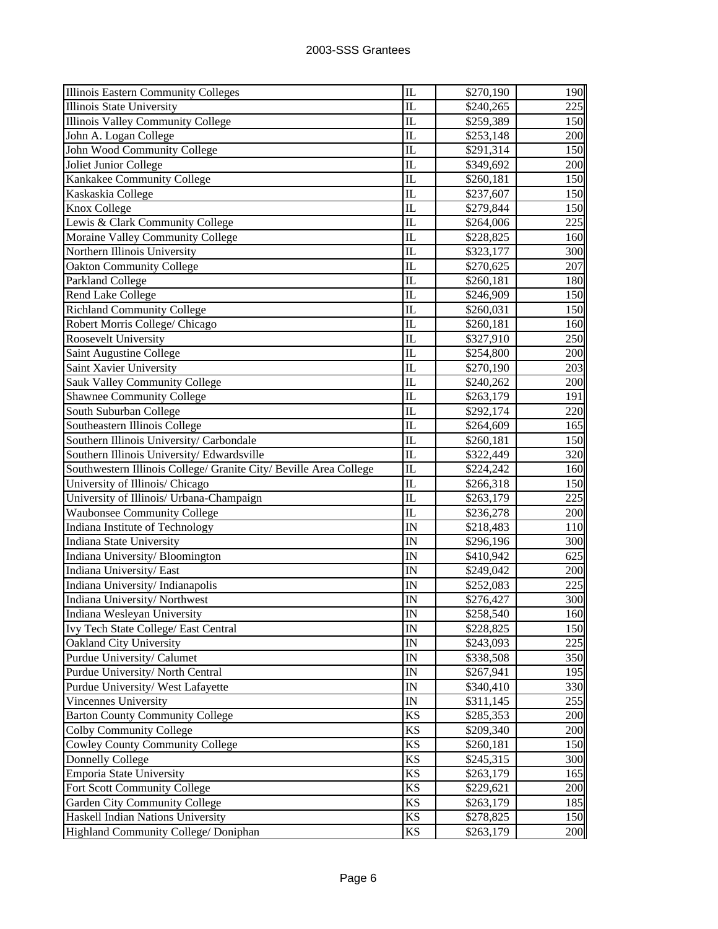| <b>Illinois Eastern Community Colleges</b>                                | IL                     | \$270,190              | 190        |
|---------------------------------------------------------------------------|------------------------|------------------------|------------|
| Illinois State University                                                 | IL                     | \$240,265              | 225        |
| Illinois Valley Community College                                         | $\overline{\text{IL}}$ | \$259,389              | 150        |
| John A. Logan College                                                     | $\overline{\text{IL}}$ | \$253,148              | 200        |
| John Wood Community College                                               | $\overline{\text{IL}}$ | \$291,314              | 150        |
| Joliet Junior College                                                     | $\overline{\text{IL}}$ | \$349,692              | 200        |
| Kankakee Community College                                                | IL                     | \$260,181              | 150        |
| Kaskaskia College                                                         | IL                     | \$237,607              | 150        |
| Knox College                                                              | IL                     | \$279,844              | 150        |
| Lewis & Clark Community College                                           | IL                     | \$264,006              | 225        |
| Moraine Valley Community College                                          | IL                     | \$228,825              | 160        |
| Northern Illinois University                                              | IL                     | \$323,177              | 300        |
| <b>Oakton Community College</b>                                           | IL                     | \$270,625              | 207        |
| Parkland College                                                          | IL                     | \$260,181              | 180        |
| Rend Lake College                                                         | IL                     | \$246,909              | 150        |
| <b>Richland Community College</b>                                         | IL                     | \$260,031              | 150        |
| Robert Morris College/ Chicago                                            | IL                     | \$260,181              | 160        |
| <b>Roosevelt University</b>                                               | IL                     | \$327,910              | 250        |
| Saint Augustine College                                                   | IL                     | \$254,800              | 200        |
| Saint Xavier University                                                   | IL                     | \$270,190              | 203        |
| Sauk Valley Community College                                             | IL                     | \$240,262              | 200        |
| <b>Shawnee Community College</b>                                          | IL                     | \$263,179              | 191        |
| South Suburban College                                                    | IL                     | \$292,174              | 220        |
| Southeastern Illinois College                                             | IL                     | \$264,609              | 165        |
| Southern Illinois University/ Carbondale                                  | IL                     | \$260,181              | 150        |
| Southern Illinois University/Edwardsville                                 | IL                     | \$322,449              | 320        |
| Southwestern Illinois College/ Granite City/ Beville Area College         | IL                     | \$224,242              | 160        |
| University of Illinois/ Chicago                                           | IL                     | \$266,318              | 150        |
| University of Illinois/ Urbana-Champaign                                  | $\overline{\text{IL}}$ | \$263,179              | 225        |
| <b>Waubonsee Community College</b>                                        | $\overline{\text{IL}}$ | \$236,278              | 200        |
| Indiana Institute of Technology                                           | $\overline{\rm IN}$    | \$218,483              | 110        |
| Indiana State University                                                  | IN                     | \$296,196              | 300        |
| Indiana University/Bloomington                                            | IN                     | \$410,942              | 625        |
| Indiana University/East                                                   | IN                     | \$249,042              | 200        |
| Indiana University/Indianapolis                                           | IN                     | \$252,083              | 225        |
| Indiana University/Northwest                                              | IN                     | \$276,427              | 300        |
| Indiana Wesleyan University                                               | $\overline{\text{IN}}$ | \$258,540              | 160        |
| Ivy Tech State College/ East Central                                      |                        |                        | 150        |
|                                                                           | IN                     | \$228,825              |            |
| Oakland City University                                                   | IN                     | \$243,093              | 225        |
| Purdue University/ Calumet                                                | IN                     | \$338,508              | 350        |
| Purdue University/ North Central                                          | IN                     | \$267,941              | 195        |
| Purdue University/ West Lafayette                                         | IN                     | \$340,410              | 330        |
| Vincennes University                                                      | IN                     | \$311,145              | 255        |
| <b>Barton County Community College</b>                                    | KS                     | \$285,353              | 200        |
| <b>Colby Community College</b>                                            | <b>KS</b>              | \$209,340              | 200        |
| <b>Cowley County Community College</b>                                    | KS                     | \$260,181              | 150        |
| <b>Donnelly College</b>                                                   | KS                     | \$245,315              | 300        |
| Emporia State University                                                  | KS                     | \$263,179              | 165        |
| Fort Scott Community College                                              | KS                     | \$229,621              | 200        |
| Garden City Community College                                             | KS                     | \$263,179              | 185        |
| Haskell Indian Nations University<br>Highland Community College/ Doniphan | KS<br>KS               | \$278,825<br>\$263,179 | 150<br>200 |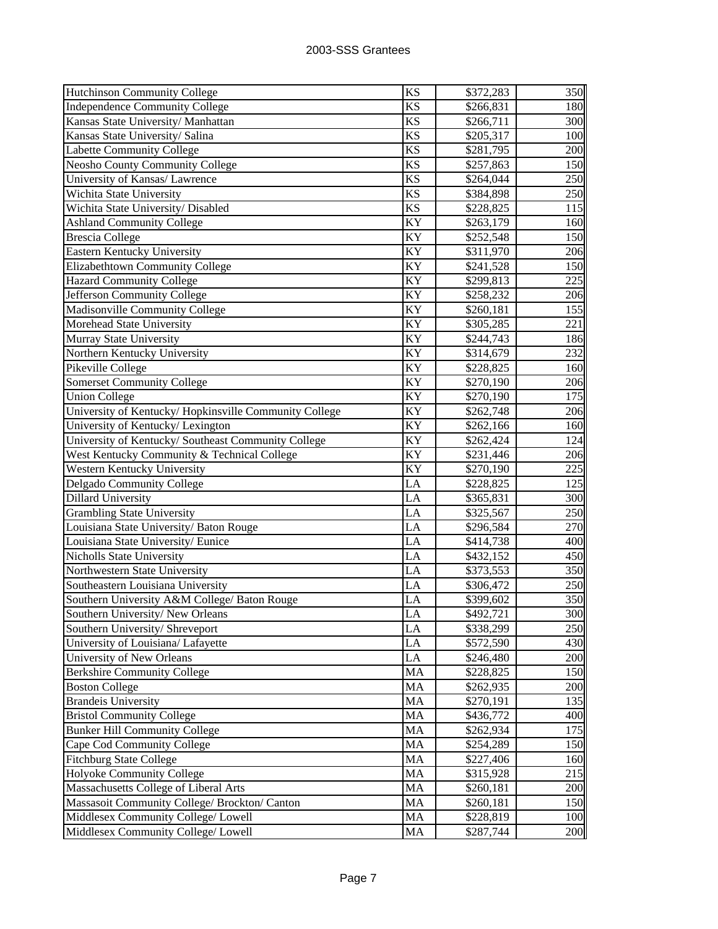| <b>Hutchinson Community College</b>                   | <b>KS</b>       | \$372,283 | 350 |
|-------------------------------------------------------|-----------------|-----------|-----|
| <b>Independence Community College</b>                 | <b>KS</b>       | \$266,831 | 180 |
| Kansas State University/ Manhattan                    | <b>KS</b>       | \$266,711 | 300 |
| Kansas State University/ Salina                       | <b>KS</b>       | \$205,317 | 100 |
| <b>Labette Community College</b>                      | <b>KS</b>       | \$281,795 | 200 |
| <b>Neosho County Community College</b>                | <b>KS</b>       | \$257,863 | 150 |
| University of Kansas/ Lawrence                        | <b>KS</b>       | \$264,044 | 250 |
| Wichita State University                              | <b>KS</b>       | \$384,898 | 250 |
| Wichita State University/ Disabled                    | <b>KS</b>       | \$228,825 | 115 |
| <b>Ashland Community College</b>                      | KY              | \$263,179 | 160 |
| <b>Brescia College</b>                                | KY              | \$252,548 | 150 |
| Eastern Kentucky University                           | KY              | \$311,970 | 206 |
| Elizabethtown Community College                       | KY              | \$241,528 | 150 |
| <b>Hazard Community College</b>                       | KY              | \$299,813 | 225 |
| Jefferson Community College                           | KY              | \$258,232 | 206 |
| Madisonville Community College                        | KY              | \$260,181 | 155 |
| Morehead State University                             | KY              | \$305,285 | 221 |
| Murray State University                               | $\overline{K}Y$ | \$244,743 | 186 |
| Northern Kentucky University                          | KY              | \$314,679 | 232 |
| Pikeville College                                     | KY              | \$228,825 | 160 |
| <b>Somerset Community College</b>                     | KY              | \$270,190 | 206 |
| <b>Union College</b>                                  | KY              | \$270,190 | 175 |
| University of Kentucky/Hopkinsville Community College | KY              | \$262,748 | 206 |
| University of Kentucky/ Lexington                     | KY              | \$262,166 | 160 |
| University of Kentucky/ Southeast Community College   | KY              | \$262,424 | 124 |
| West Kentucky Community & Technical College           | KY              | \$231,446 | 206 |
| Western Kentucky University                           | KY              | \$270,190 | 225 |
| Delgado Community College                             | LA              | \$228,825 | 125 |
| Dillard University                                    | LA              | \$365,831 | 300 |
| <b>Grambling State University</b>                     | LA              | \$325,567 | 250 |
| Louisiana State University/ Baton Rouge               | LA              | \$296,584 | 270 |
| Louisiana State University/Eunice                     | LA              | \$414,738 | 400 |
| Nicholls State University                             | LA              | \$432,152 | 450 |
| Northwestern State University                         | LA              | \$373,553 | 350 |
| Southeastern Louisiana University                     | LA              | \$306,472 | 250 |
| Southern University A&M College/ Baton Rouge          | LA              | \$399,602 | 350 |
| Southern University/New Orleans                       | LA              | \$492,721 | 300 |
| Southern University/ Shreveport                       | LA              | \$338,299 | 250 |
| University of Louisiana/ Lafayette                    | LA              | \$572,590 | 430 |
| University of New Orleans                             | LA              | \$246,480 | 200 |
| <b>Berkshire Community College</b>                    | MA              | \$228,825 | 150 |
| <b>Boston College</b>                                 | MA              | \$262,935 | 200 |
| <b>Brandeis University</b>                            | MA              | \$270,191 | 135 |
| <b>Bristol Community College</b>                      | MA              | \$436,772 | 400 |
| <b>Bunker Hill Community College</b>                  | MA              | \$262,934 | 175 |
| Cape Cod Community College                            | MA              | \$254,289 | 150 |
| Fitchburg State College                               | MA              | \$227,406 | 160 |
| Holyoke Community College                             | MA              | \$315,928 | 215 |
| Massachusetts College of Liberal Arts                 | MA              | \$260,181 | 200 |
| Massasoit Community College/ Brockton/ Canton         | MA              | \$260,181 | 150 |
| Middlesex Community College/ Lowell                   | MA              | \$228,819 | 100 |
| Middlesex Community College/ Lowell                   | MA              | \$287,744 | 200 |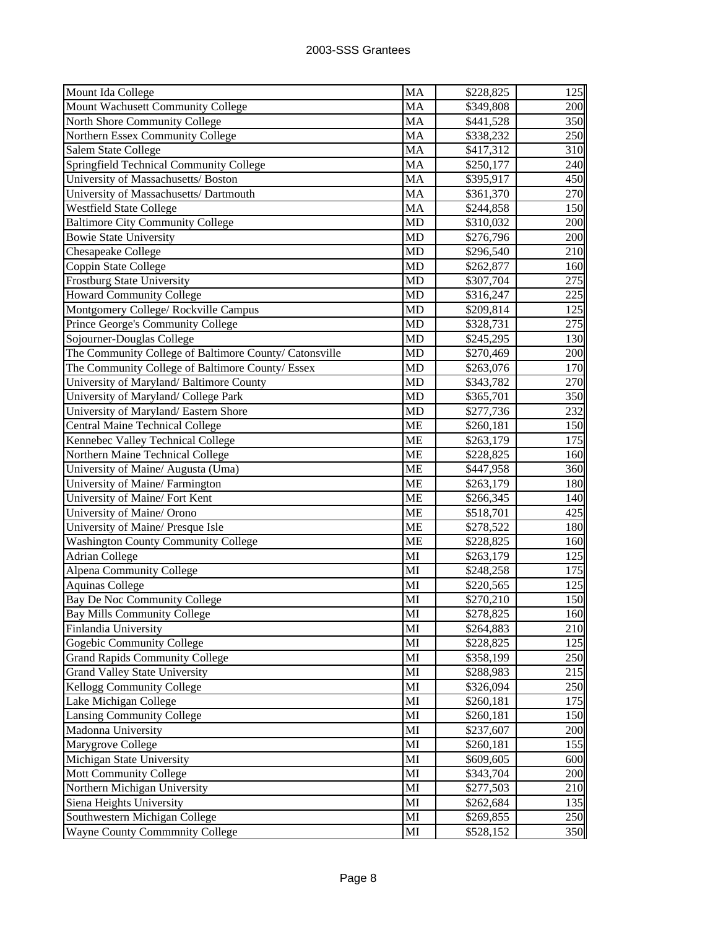| Mount Ida College                                      | <b>MA</b> | \$228,825 | 125 |
|--------------------------------------------------------|-----------|-----------|-----|
| Mount Wachusett Community College                      | MA        | \$349,808 | 200 |
| North Shore Community College                          | MA        | \$441,528 | 350 |
| Northern Essex Community College                       | MA        | \$338,232 | 250 |
| Salem State College                                    | MA        | \$417,312 | 310 |
| Springfield Technical Community College                | <b>MA</b> | \$250,177 | 240 |
| University of Massachusetts/ Boston                    | <b>MA</b> | \$395,917 | 450 |
| University of Massachusetts/ Dartmouth                 | MA        | \$361,370 | 270 |
| <b>Westfield State College</b>                         | <b>MA</b> | \$244,858 | 150 |
| Baltimore City Community College                       | <b>MD</b> | \$310,032 | 200 |
| <b>Bowie State University</b>                          | <b>MD</b> | \$276,796 | 200 |
| Chesapeake College                                     | MD        | \$296,540 | 210 |
|                                                        | <b>MD</b> |           | 160 |
| Coppin State College                                   |           | \$262,877 |     |
| Frostburg State University                             | <b>MD</b> | \$307,704 | 275 |
| <b>Howard Community College</b>                        | <b>MD</b> | \$316,247 | 225 |
| Montgomery College/ Rockville Campus                   | MD        | \$209,814 | 125 |
| Prince George's Community College                      | <b>MD</b> | \$328,731 | 275 |
| Sojourner-Douglas College                              | <b>MD</b> | \$245,295 | 130 |
| The Community College of Baltimore County/ Catonsville | <b>MD</b> | \$270,469 | 200 |
| The Community College of Baltimore County/ Essex       | <b>MD</b> | \$263,076 | 170 |
| University of Maryland/Baltimore County                | <b>MD</b> | \$343,782 | 270 |
| University of Maryland/ College Park                   | <b>MD</b> | \$365,701 | 350 |
| University of Maryland/ Eastern Shore                  | <b>MD</b> | \$277,736 | 232 |
| Central Maine Technical College                        | <b>ME</b> | \$260,181 | 150 |
| Kennebec Valley Technical College                      | <b>ME</b> | \$263,179 | 175 |
| Northern Maine Technical College                       | <b>ME</b> | \$228,825 | 160 |
| University of Maine/ Augusta (Uma)                     | <b>ME</b> | \$447,958 | 360 |
| University of Maine/ Farmington                        | <b>ME</b> | \$263,179 | 180 |
| University of Maine/ Fort Kent                         | <b>ME</b> | \$266,345 | 140 |
| University of Maine/ Orono                             | <b>ME</b> | \$518,701 | 425 |
| University of Maine/ Presque Isle                      | <b>ME</b> | \$278,522 | 180 |
| <b>Washington County Community College</b>             | <b>ME</b> | \$228,825 | 160 |
| <b>Adrian College</b>                                  | MI        | \$263,179 | 125 |
| <b>Alpena Community College</b>                        | MI        | \$248,258 | 175 |
| <b>Aquinas College</b>                                 | MI        | \$220,565 | 125 |
| Bay De Noc Community College                           | MI        | \$270,210 | 150 |
| <b>Bay Mills Community College</b>                     | MI        | \$278,825 | 160 |
| Finlandia University                                   | MI        | \$264,883 | 210 |
| Gogebic Community College                              | MI        | \$228,825 | 125 |
| <b>Grand Rapids Community College</b>                  | MI        | \$358,199 | 250 |
| <b>Grand Valley State University</b>                   | MI        | \$288,983 | 215 |
| Kellogg Community College                              | MI        | \$326,094 | 250 |
| Lake Michigan College                                  | MI        | \$260,181 | 175 |
| Lansing Community College                              | MI        | \$260,181 | 150 |
| Madonna University                                     | MI        | \$237,607 | 200 |
| Marygrove College                                      | MI        | \$260,181 | 155 |
| Michigan State University                              | MI        | \$609,605 | 600 |
| <b>Mott Community College</b>                          | MI        | \$343,704 | 200 |
| Northern Michigan University                           | MI        | \$277,503 | 210 |
| Siena Heights University                               | MI        | \$262,684 | 135 |
| Southwestern Michigan College                          | MI        | \$269,855 | 250 |
| <b>Wayne County Commmnity College</b>                  | MI        | \$528,152 | 350 |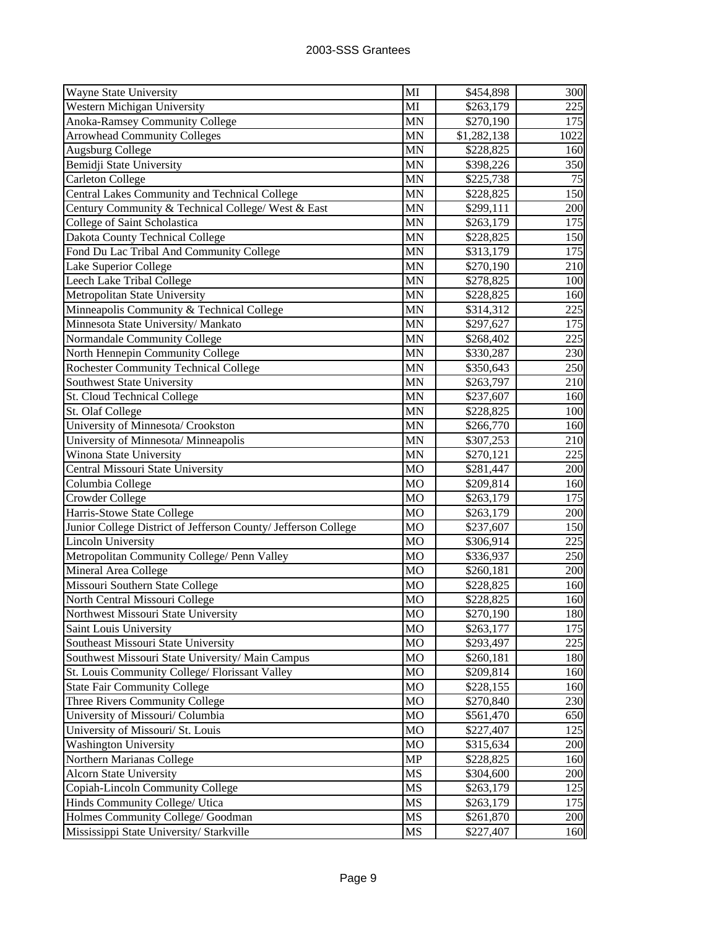| Wayne State University                                         | MI             | \$454,898   | 300   |
|----------------------------------------------------------------|----------------|-------------|-------|
| Western Michigan University                                    | MI             | \$263,179   | 225   |
| Anoka-Ramsey Community College                                 | <b>MN</b>      | \$270,190   | 175   |
| <b>Arrowhead Community Colleges</b>                            | MN             | \$1,282,138 | 1022  |
| <b>Augsburg College</b>                                        | MN             | \$228,825   | 160   |
| Bemidji State University                                       | <b>MN</b>      | \$398,226   | 350   |
| <b>Carleton College</b>                                        | <b>MN</b>      | \$225,738   | 75    |
| Central Lakes Community and Technical College                  | <b>MN</b>      | \$228,825   | 150   |
| Century Community & Technical College/ West & East             | <b>MN</b>      | \$299,111   | 200   |
| College of Saint Scholastica                                   | <b>MN</b>      | \$263,179   | 175   |
| Dakota County Technical College                                | <b>MN</b>      | \$228,825   | 150   |
| Fond Du Lac Tribal And Community College                       | <b>MN</b>      | \$313,179   | 175   |
| Lake Superior College                                          | MN             | \$270,190   | 210   |
| Leech Lake Tribal College                                      | <b>MN</b>      | \$278,825   | 100   |
| Metropolitan State University                                  | <b>MN</b>      | \$228,825   | 160   |
| Minneapolis Community & Technical College                      | <b>MN</b>      | \$314,312   | 225   |
| Minnesota State University/ Mankato                            | MN             | \$297,627   | 175   |
| Normandale Community College                                   | <b>MN</b>      | \$268,402   | 225   |
| North Hennepin Community College                               | MN             | \$330,287   | 230   |
| <b>Rochester Community Technical College</b>                   | <b>MN</b>      | \$350,643   | 250   |
| Southwest State University                                     | MN             | \$263,797   | 210   |
| St. Cloud Technical College                                    | <b>MN</b>      | \$237,607   | 160   |
| St. Olaf College                                               | <b>MN</b>      | \$228,825   | 100   |
| University of Minnesota/ Crookston                             | <b>MN</b>      | \$266,770   | 160   |
| University of Minnesota/ Minneapolis                           | <b>MN</b>      | \$307,253   | 210   |
| Winona State University                                        | <b>MN</b>      | \$270,121   | 225   |
| Central Missouri State University                              | <b>MO</b>      | \$281,447   | 200   |
| Columbia College                                               | <b>MO</b>      | \$209,814   | 160   |
| <b>Crowder College</b>                                         | <b>MO</b>      | \$263,179   | 175   |
| Harris-Stowe State College                                     | <b>MO</b>      | \$263,179   | 200   |
| Junior College District of Jefferson County/ Jefferson College | <b>MO</b>      | \$237,607   | 150   |
| <b>Lincoln University</b>                                      | <b>MO</b>      | \$306,914   | 225   |
| Metropolitan Community College/ Penn Valley                    | M <sub>O</sub> | \$336,937   | 250   |
| Mineral Area College                                           | MO             | \$260,181   | 200   |
| Missouri Southern State College                                | MO             | \$228,825   | 160   |
| North Central Missouri College                                 | MO             | \$228,825   | 160   |
| Northwest Missouri State University                            | МO             | \$270,190   | 180II |
| Saint Louis University                                         | <b>MO</b>      | \$263,177   | 175   |
| Southeast Missouri State University                            | MO             | \$293,497   | 225   |
| Southwest Missouri State University/ Main Campus               | MO             | \$260,181   | 180   |
| St. Louis Community College/ Florissant Valley                 | MO             | \$209,814   | 160   |
| <b>State Fair Community College</b>                            | MO             | \$228,155   | 160   |
| Three Rivers Community College                                 | M <sub>O</sub> | \$270,840   | 230   |
| University of Missouri/ Columbia                               | MO             | \$561,470   | 650   |
| University of Missouri/ St. Louis                              | <b>MO</b>      | \$227,407   | 125   |
| <b>Washington University</b>                                   | MO             | \$315,634   | 200   |
| Northern Marianas College                                      | <b>MP</b>      | \$228,825   | 160   |
| <b>Alcorn State University</b>                                 | MS             | \$304,600   | 200   |
| Copiah-Lincoln Community College                               | MS             | \$263,179   | 125   |
| Hinds Community College/ Utica                                 | MS             | \$263,179   | 175   |
| Holmes Community College/ Goodman                              | MS             | \$261,870   | 200   |
| Mississippi State University/ Starkville                       | MS             | \$227,407   | 160   |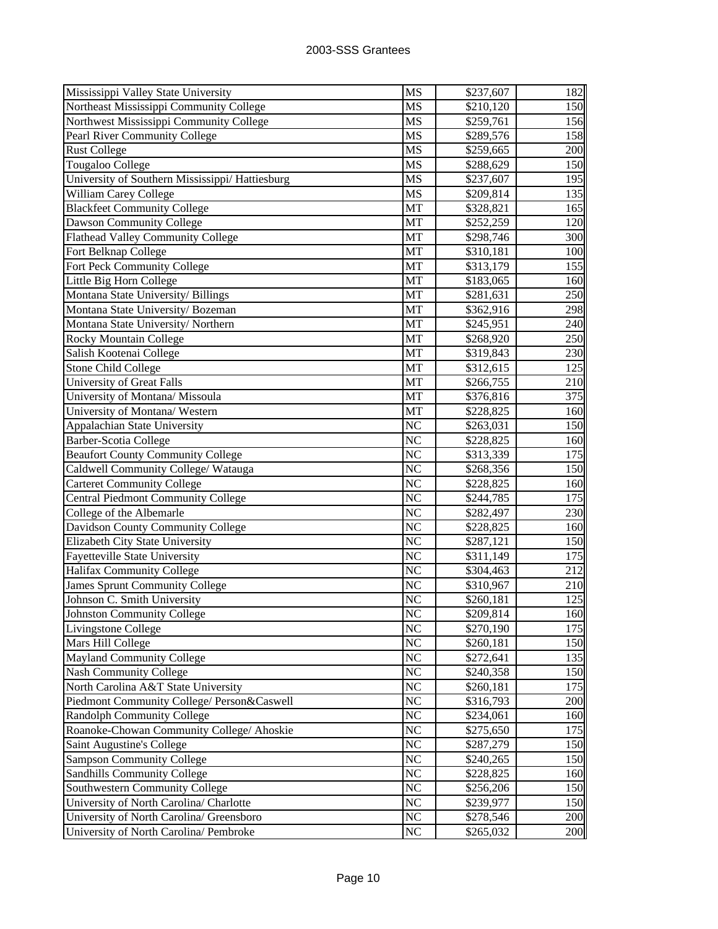| Mississippi Valley State University             | MS              | \$237,607 | 182 |
|-------------------------------------------------|-----------------|-----------|-----|
| Northeast Mississippi Community College         | MS              | \$210,120 | 150 |
| Northwest Mississippi Community College         | MS              | \$259,761 | 156 |
| Pearl River Community College                   | MS              | \$289,576 | 158 |
| <b>Rust College</b>                             | MS              | \$259,665 | 200 |
| Tougaloo College                                | MS              | \$288,629 | 150 |
| University of Southern Mississippi/ Hattiesburg | MS              | \$237,607 | 195 |
| William Carey College                           | MS              | \$209,814 | 135 |
| <b>Blackfeet Community College</b>              | MT              | \$328,821 | 165 |
| Dawson Community College                        | MT              | \$252,259 | 120 |
| Flathead Valley Community College               | MT              | \$298,746 | 300 |
| Fort Belknap College                            | MT              | \$310,181 | 100 |
| Fort Peck Community College                     | MT              | \$313,179 | 155 |
| Little Big Horn College                         | MT              | \$183,065 | 160 |
| Montana State University/ Billings              | MT              | \$281,631 | 250 |
| Montana State University/ Bozeman               | MT              | \$362,916 | 298 |
| Montana State University/Northern               | MT              | \$245,951 | 240 |
| Rocky Mountain College                          | MT              | \$268,920 | 250 |
| Salish Kootenai College                         | MT              | \$319,843 | 230 |
| <b>Stone Child College</b>                      | MT              | \$312,615 | 125 |
| <b>University of Great Falls</b>                | MT              | \$266,755 | 210 |
| University of Montana/ Missoula                 | MT              | \$376,816 | 375 |
| University of Montana/ Western                  | MT              | \$228,825 | 160 |
| Appalachian State University                    | N <sub>C</sub>  | \$263,031 | 150 |
| Barber-Scotia College                           | N <sub>C</sub>  | \$228,825 | 160 |
| <b>Beaufort County Community College</b>        | N <sub>C</sub>  | \$313,339 | 175 |
| Caldwell Community College/ Watauga             | N <sub>C</sub>  | \$268,356 | 150 |
| <b>Carteret Community College</b>               | N <sub>C</sub>  | \$228,825 | 160 |
| <b>Central Piedmont Community College</b>       | N <sub>C</sub>  | \$244,785 | 175 |
| College of the Albemarle                        | N <sub>C</sub>  | \$282,497 | 230 |
| Davidson County Community College               | N <sub>C</sub>  | \$228,825 | 160 |
| Elizabeth City State University                 | N <sub>C</sub>  | \$287,121 | 150 |
| Fayetteville State University                   | N <sub>C</sub>  | \$311,149 | 175 |
| Halifax Community College                       | N <sub>C</sub>  | \$304,463 | 212 |
| <b>James Sprunt Community College</b>           | N <sub>C</sub>  | \$310,967 | 210 |
| Johnson C. Smith University                     | NC              | \$260,181 | 125 |
| Johnston Community College                      | <b>NC</b>       | \$209,814 | 160 |
| Livingstone College                             | N <sub>C</sub>  | \$270,190 | 175 |
| Mars Hill College                               | NC              | \$260,181 | 150 |
| <b>Mayland Community College</b>                | NC              | \$272,641 | 135 |
| <b>Nash Community College</b>                   | NC              | \$240,358 | 150 |
| North Carolina A&T State University             | NC              | \$260,181 | 175 |
| Piedmont Community College/ Person&Caswell      | NC              | \$316,793 | 200 |
| Randolph Community College                      | N <sub>C</sub>  | \$234,061 | 160 |
| Roanoke-Chowan Community College/ Ahoskie       | N <sub>C</sub>  | \$275,650 | 175 |
| Saint Augustine's College                       | NC              | \$287,279 | 150 |
| <b>Sampson Community College</b>                | N <sub>C</sub>  | \$240,265 | 150 |
| Sandhills Community College                     | N <sub>C</sub>  | \$228,825 | 160 |
| Southwestern Community College                  | N <sub>C</sub>  | \$256,206 | 150 |
| University of North Carolina/ Charlotte         | $N\overline{C}$ | \$239,977 | 150 |
| University of North Carolina/ Greensboro        | NC              | \$278,546 | 200 |
| University of North Carolina/ Pembroke          | <b>NC</b>       | \$265,032 | 200 |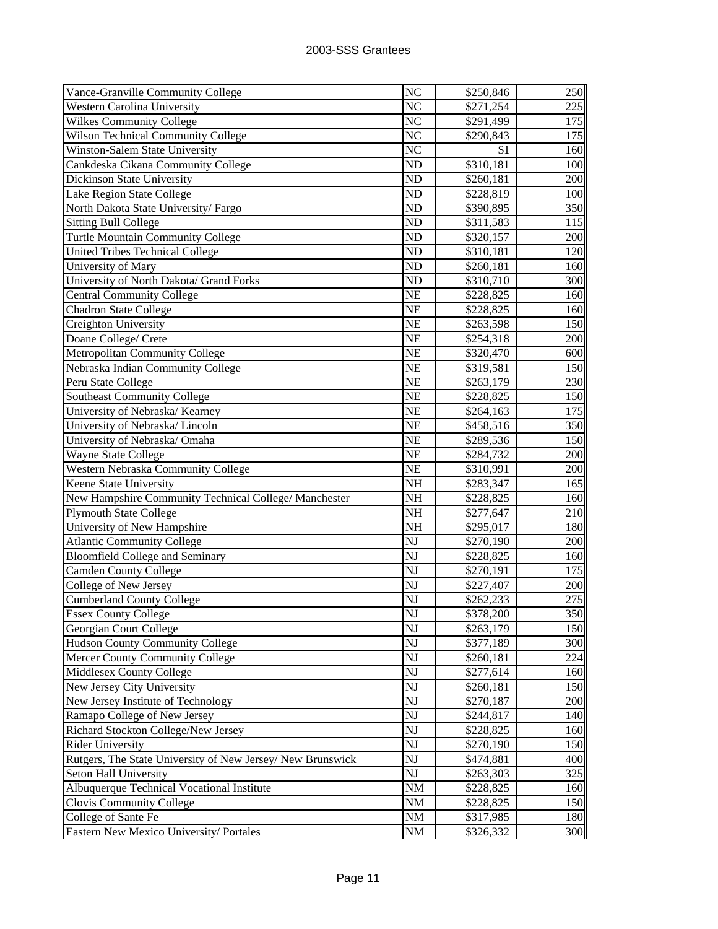| Vance-Granville Community College                          | NC                     | \$250,846 | 250 |
|------------------------------------------------------------|------------------------|-----------|-----|
| <b>Western Carolina University</b>                         | NC                     | \$271,254 | 225 |
| <b>Wilkes Community College</b>                            | NC                     | \$291,499 | 175 |
| Wilson Technical Community College                         | NC                     | \$290,843 | 175 |
| <b>Winston-Salem State University</b>                      | NC                     | \$1       | 160 |
| Cankdeska Cikana Community College                         | ND                     | \$310,181 | 100 |
| Dickinson State University                                 | ND                     | \$260,181 | 200 |
| Lake Region State College                                  | ND                     | \$228,819 | 100 |
| North Dakota State University/Fargo                        | ND                     | \$390,895 | 350 |
| <b>Sitting Bull College</b>                                | ND                     | \$311,583 | 115 |
| Turtle Mountain Community College                          | ND                     | \$320,157 | 200 |
| <b>United Tribes Technical College</b>                     | ND                     | \$310,181 | 120 |
| University of Mary                                         | ND                     | \$260,181 | 160 |
| University of North Dakota/ Grand Forks                    | ND                     | \$310,710 | 300 |
| <b>Central Community College</b>                           | NE                     | \$228,825 | 160 |
| <b>Chadron State College</b>                               | NE                     | \$228,825 | 160 |
| Creighton University                                       | NE                     | \$263,598 | 150 |
| Doane College/ Crete                                       | NE                     | \$254,318 | 200 |
| Metropolitan Community College                             | NE                     | \$320,470 | 600 |
| Nebraska Indian Community College                          | NE                     | \$319,581 | 150 |
| Peru State College                                         | NE                     | \$263,179 | 230 |
| <b>Southeast Community College</b>                         | NE                     | \$228,825 | 150 |
| University of Nebraska/ Kearney                            | NE                     | \$264,163 | 175 |
| University of Nebraska/Lincoln                             | NE                     | \$458,516 | 350 |
| University of Nebraska/ Omaha                              | NE                     | \$289,536 | 150 |
| Wayne State College                                        | NE                     | \$284,732 | 200 |
| Western Nebraska Community College                         | NE                     | \$310,991 | 200 |
| Keene State University                                     | NH                     | \$283,347 | 165 |
| New Hampshire Community Technical College/ Manchester      | NH                     | \$228,825 | 160 |
| <b>Plymouth State College</b>                              | NH                     | \$277,647 | 210 |
| University of New Hampshire                                | NH                     | \$295,017 | 180 |
| <b>Atlantic Community College</b>                          | NJ                     | \$270,190 | 200 |
| <b>Bloomfield College and Seminary</b>                     | NJ                     | \$228,825 | 160 |
| Camden County College                                      | NJ                     | \$270,191 | 175 |
| College of New Jersey                                      | NJ                     | \$227,407 | 200 |
| <b>Cumberland County College</b>                           | NJ                     | \$262,233 | 275 |
| <b>Essex County College</b>                                | $\overline{\text{NJ}}$ | \$378,200 | 350 |
| Georgian Court College                                     | NJ                     | \$263,179 | 150 |
| <b>Hudson County Community College</b>                     | NJ                     | \$377,189 | 300 |
| Mercer County Community College                            | NJ                     | \$260,181 | 224 |
| Middlesex County College                                   | NJ                     | \$277,614 | 160 |
| New Jersey City University                                 | NJ                     | \$260,181 | 150 |
| New Jersey Institute of Technology                         | NJ                     | \$270,187 | 200 |
| Ramapo College of New Jersey                               | NJ                     | \$244,817 | 140 |
| Richard Stockton College/New Jersey                        | NJ                     | \$228,825 | 160 |
| <b>Rider University</b>                                    | NJ                     | \$270,190 | 150 |
| Rutgers, The State University of New Jersey/ New Brunswick | NJ                     | \$474,881 | 400 |
| Seton Hall University                                      | NJ                     | \$263,303 | 325 |
| Albuquerque Technical Vocational Institute                 | NM                     | \$228,825 | 160 |
| Clovis Community College                                   | NM                     | \$228,825 | 150 |
| College of Sante Fe                                        | NM                     | \$317,985 | 180 |
| Eastern New Mexico University/ Portales                    | NM                     | \$326,332 | 300 |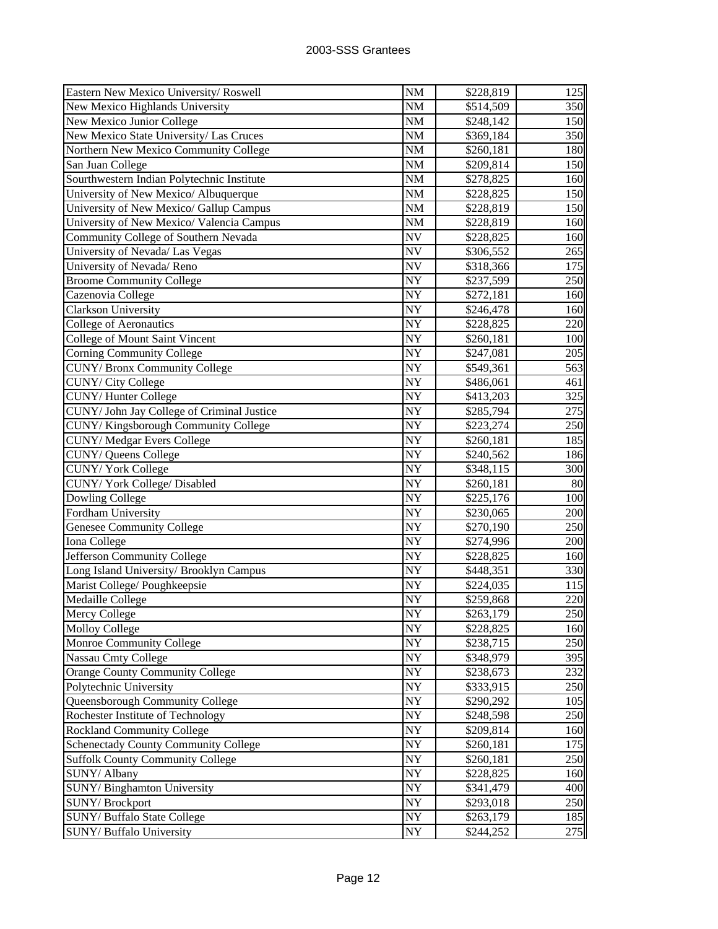| Eastern New Mexico University/Roswell       | <b>NM</b>       | \$228,819 | 125 |
|---------------------------------------------|-----------------|-----------|-----|
| New Mexico Highlands University             | NM              | \$514,509 | 350 |
| New Mexico Junior College                   | $\rm{NM}$       | \$248,142 | 150 |
| New Mexico State University/ Las Cruces     | $\rm{NM}$       | \$369,184 | 350 |
| Northern New Mexico Community College       | $\rm{NM}$       | \$260,181 | 180 |
| San Juan College                            | NM              | \$209,814 | 150 |
| Sourthwestern Indian Polytechnic Institute  | <b>NM</b>       | \$278,825 | 160 |
| University of New Mexico/ Albuquerque       | <b>NM</b>       | \$228,825 | 150 |
| University of New Mexico/ Gallup Campus     | NM              | \$228,819 | 150 |
| University of New Mexico/ Valencia Campus   | NM              | \$228,819 | 160 |
| Community College of Southern Nevada        | <b>NV</b>       | \$228,825 | 160 |
| University of Nevada/ Las Vegas             | <b>NV</b>       | \$306,552 | 265 |
| University of Nevada/Reno                   | <b>NV</b>       | \$318,366 | 175 |
| <b>Broome Community College</b>             | NY              | \$237,599 | 250 |
| Cazenovia College                           | NY              | \$272,181 | 160 |
| Clarkson University                         | NY              | \$246,478 | 160 |
| <b>College of Aeronautics</b>               | NY              | \$228,825 | 220 |
| College of Mount Saint Vincent              | NY              | \$260,181 | 100 |
| <b>Corning Community College</b>            | NY              | \$247,081 | 205 |
| CUNY/ Bronx Community College               | NY              | \$549,361 | 563 |
| CUNY/ City College                          | NY              | \$486,061 | 461 |
| CUNY/Hunter College                         | NY              | \$413,203 | 325 |
| CUNY/ John Jay College of Criminal Justice  | NY              | \$285,794 | 275 |
| CUNY/Kingsborough Community College         | NY              | \$223,274 | 250 |
| CUNY/Medgar Evers College                   | NY              | \$260,181 | 185 |
| CUNY/ Queens College                        | NY              | \$240,562 | 186 |
| <b>CUNY/York College</b>                    | NY              | \$348,115 | 300 |
| CUNY/York College/Disabled                  | NY              | \$260,181 | 80  |
| Dowling College                             | NY              | \$225,176 | 100 |
| Fordham University                          | NY              | \$230,065 | 200 |
| Genesee Community College                   | NY              | \$270,190 | 250 |
| Iona College                                | NY              | \$274,996 | 200 |
| Jefferson Community College                 | NY              | \$228,825 | 160 |
| Long Island University/ Brooklyn Campus     | <b>NY</b>       | \$448,351 | 330 |
| Marist College/ Poughkeepsie                | NY              | \$224,035 | 115 |
| Medaille College                            | <b>NY</b>       | \$259,868 | 220 |
| Mercy College                               | $\overline{NY}$ | \$263,179 | 250 |
| <b>Molloy College</b>                       | NY              | \$228,825 | 160 |
| Monroe Community College                    | <b>NY</b>       | \$238,715 | 250 |
| <b>Nassau Cmty College</b>                  | NY              | \$348,979 | 395 |
| Orange County Community College             | NY              | \$238,673 | 232 |
| Polytechnic University                      | <b>NY</b>       | \$333,915 | 250 |
| Queensborough Community College             | <b>NY</b>       | \$290,292 | 105 |
| Rochester Institute of Technology           | NY              | \$248,598 | 250 |
| <b>Rockland Community College</b>           | NY              | \$209,814 | 160 |
| <b>Schenectady County Community College</b> | NY              | \$260,181 | 175 |
| <b>Suffolk County Community College</b>     | NY              | \$260,181 | 250 |
| SUNY/ Albany                                | NY              | \$228,825 | 160 |
| SUNY/Binghamton University                  | NY              | \$341,479 | 400 |
| SUNY/Brockport                              | NY              | \$293,018 | 250 |
| SUNY/Buffalo State College                  | NY              | \$263,179 | 185 |
| SUNY/ Buffalo University                    | <b>NY</b>       | \$244,252 | 275 |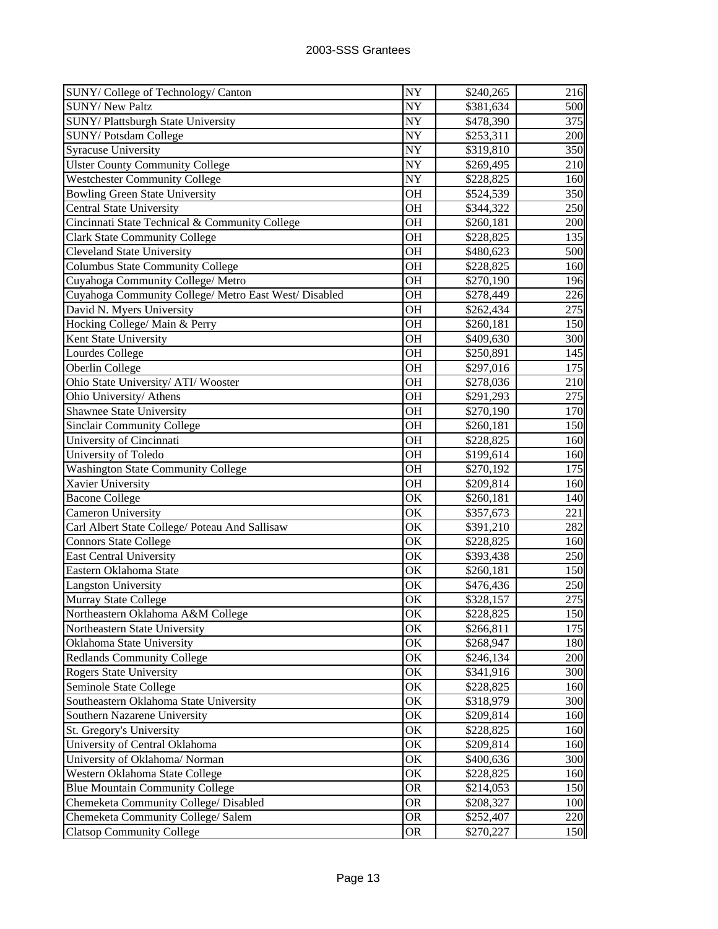| SUNY/College of Technology/Canton                     | <b>NY</b>           | \$240,265 | 216 |
|-------------------------------------------------------|---------------------|-----------|-----|
| <b>SUNY/ New Paltz</b>                                | NY                  | \$381,634 | 500 |
| SUNY/Plattsburgh State University                     | NY                  | \$478,390 | 375 |
| SUNY/Potsdam College                                  | NY                  | \$253,311 | 200 |
| <b>Syracuse University</b>                            | NY                  | \$319,810 | 350 |
| <b>Ulster County Community College</b>                | NY                  | \$269,495 | 210 |
| <b>Westchester Community College</b>                  | NY                  | \$228,825 | 160 |
| <b>Bowling Green State University</b>                 | OH                  | \$524,539 | 350 |
| <b>Central State University</b>                       | <b>OH</b>           | \$344,322 | 250 |
| Cincinnati State Technical & Community College        | <b>OH</b>           | \$260,181 | 200 |
| <b>Clark State Community College</b>                  | <b>OH</b>           | \$228,825 | 135 |
| <b>Cleveland State University</b>                     | OH                  | \$480,623 | 500 |
| <b>Columbus State Community College</b>               | OH                  | \$228,825 | 160 |
| Cuyahoga Community College/ Metro                     | <b>OH</b>           | \$270,190 | 196 |
| Cuyahoga Community College/ Metro East West/ Disabled | OH                  | \$278,449 | 226 |
| David N. Myers University                             | <b>OH</b>           | \$262,434 | 275 |
| Hocking College/ Main & Perry                         | <b>OH</b>           | \$260,181 | 150 |
| Kent State University                                 | <b>OH</b>           | \$409,630 | 300 |
| Lourdes College                                       | <b>OH</b>           | \$250,891 | 145 |
| Oberlin College                                       | <b>OH</b>           | \$297,016 | 175 |
| Ohio State University/ ATI/ Wooster                   | <b>OH</b>           | \$278,036 | 210 |
| Ohio University/ Athens                               | <b>OH</b>           | \$291,293 | 275 |
| Shawnee State University                              | <b>OH</b>           | \$270,190 | 170 |
| <b>Sinclair Community College</b>                     | OH                  | \$260,181 | 150 |
| University of Cincinnati                              | OH                  | \$228,825 | 160 |
| University of Toledo                                  | <b>OH</b>           | \$199,614 | 160 |
| <b>Washington State Community College</b>             | <b>OH</b>           | \$270,192 | 175 |
| Xavier University                                     | OH                  | \$209,814 | 160 |
| <b>Bacone College</b>                                 | OK                  | \$260,181 | 140 |
| Cameron University                                    | OK                  | \$357,673 | 221 |
| Carl Albert State College/ Poteau And Sallisaw        | OK                  | \$391,210 | 282 |
| <b>Connors State College</b>                          | OK                  | \$228,825 | 160 |
| <b>East Central University</b>                        | OK                  | \$393,438 | 250 |
| Eastern Oklahoma State                                | OK                  | \$260,181 | 150 |
| <b>Langston University</b>                            | OK                  | \$476,436 | 250 |
| <b>Murray State College</b>                           | OK                  | \$328,157 | 275 |
| Northeastern Oklahoma A&M College                     | $\overline{\rm OK}$ | \$228,825 | 150 |
| Northeastern State University                         | OK                  | \$266,811 | 175 |
| Oklahoma State University                             | OK                  | \$268,947 | 180 |
| <b>Redlands Community College</b>                     | OK                  | \$246,134 | 200 |
| <b>Rogers State University</b>                        | OK                  | \$341,916 | 300 |
| Seminole State College                                | OK                  | \$228,825 | 160 |
| Southeastern Oklahoma State University                | OK                  | \$318,979 | 300 |
| Southern Nazarene University                          | OK                  | \$209,814 | 160 |
| St. Gregory's University                              | OK                  | \$228,825 | 160 |
| University of Central Oklahoma                        | OK                  | \$209,814 | 160 |
| University of Oklahoma/ Norman                        | OK                  | \$400,636 | 300 |
| Western Oklahoma State College                        | OK                  | \$228,825 | 160 |
| <b>Blue Mountain Community College</b>                | <b>OR</b>           | \$214,053 | 150 |
| Chemeketa Community College/ Disabled                 | <b>OR</b>           | \$208,327 | 100 |
| Chemeketa Community College/ Salem                    | <b>OR</b>           | \$252,407 | 220 |
| <b>Clatsop Community College</b>                      | <b>OR</b>           | \$270,227 | 150 |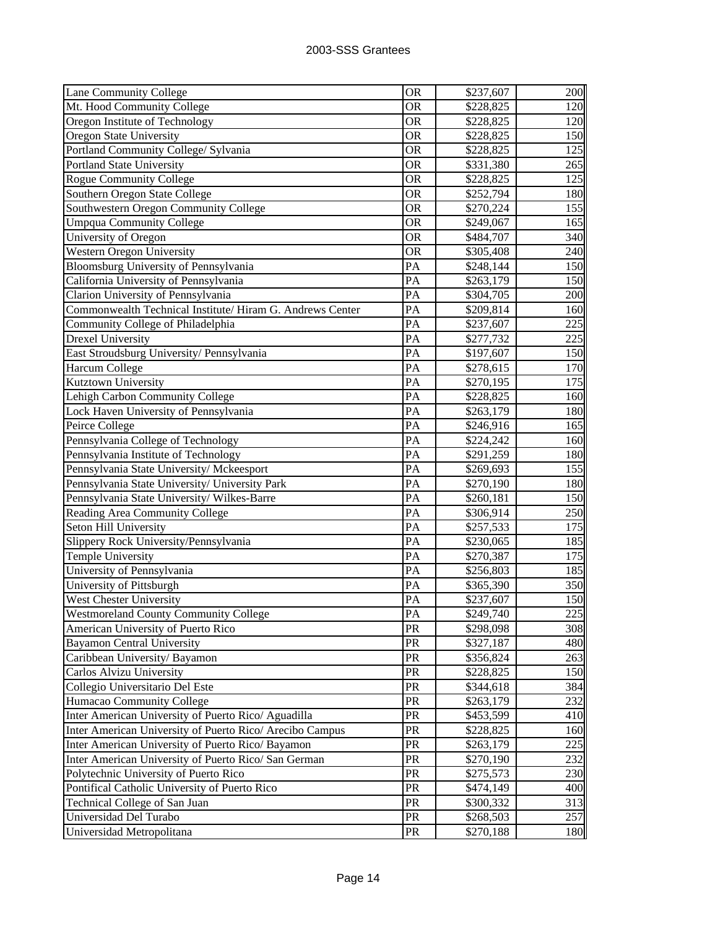| Lane Community College                                   | <b>OR</b>       | \$237,607 | 200 |
|----------------------------------------------------------|-----------------|-----------|-----|
| Mt. Hood Community College                               | <b>OR</b>       | \$228,825 | 120 |
| Oregon Institute of Technology                           | <b>OR</b>       | \$228,825 | 120 |
| Oregon State University                                  | <b>OR</b>       | \$228,825 | 150 |
| Portland Community College/ Sylvania                     | <b>OR</b>       | \$228,825 | 125 |
| <b>Portland State University</b>                         | <b>OR</b>       | \$331,380 | 265 |
| Rogue Community College                                  | OR              | \$228,825 | 125 |
| Southern Oregon State College                            | <b>OR</b>       | \$252,794 | 180 |
| Southwestern Oregon Community College                    | <b>OR</b>       | \$270,224 | 155 |
| <b>Umpqua Community College</b>                          | <b>OR</b>       | \$249,067 | 165 |
| University of Oregon                                     | <b>OR</b>       | \$484,707 | 340 |
| Western Oregon University                                | <b>OR</b>       | \$305,408 | 240 |
| Bloomsburg University of Pennsylvania                    | PA              | \$248,144 | 150 |
| California University of Pennsylvania                    | PA              | \$263,179 | 150 |
| Clarion University of Pennsylvania                       | PA              | \$304,705 | 200 |
| Commonwealth Technical Institute/Hiram G. Andrews Center | PA              | \$209,814 | 160 |
| Community College of Philadelphia                        | PA              | \$237,607 | 225 |
| <b>Drexel University</b>                                 | PA              | \$277,732 | 225 |
| East Stroudsburg University/ Pennsylvania                | PA              | \$197,607 | 150 |
| <b>Harcum College</b>                                    | PA              | \$278,615 | 170 |
| Kutztown University                                      | PA              | \$270,195 | 175 |
| Lehigh Carbon Community College                          | PA              | \$228,825 | 160 |
| Lock Haven University of Pennsylvania                    | PA              | \$263,179 | 180 |
| Peirce College                                           | PA              | \$246,916 | 165 |
| Pennsylvania College of Technology                       | PA              | \$224,242 | 160 |
| Pennsylvania Institute of Technology                     | PA              | \$291,259 | 180 |
| Pennsylvania State University/ Mckeesport                | PA              | \$269,693 | 155 |
| Pennsylvania State University/ University Park           | PA              | \$270,190 | 180 |
| Pennsylvania State University/Wilkes-Barre               | PA              | \$260,181 | 150 |
| Reading Area Community College                           | PA              | \$306,914 | 250 |
| Seton Hill University                                    | PA              | \$257,533 | 175 |
| Slippery Rock University/Pennsylvania                    | PA              | \$230,065 | 185 |
| <b>Temple University</b>                                 | PA              | \$270,387 | 175 |
| University of Pennsylvania                               | PA              | \$256,803 | 185 |
| University of Pittsburgh                                 | PA              | \$365,390 | 350 |
| West Chester University                                  | PA              | \$237,607 | 150 |
| <b>Westmoreland County Community College</b>             | $\overline{PA}$ | \$249,740 | 225 |
| American University of Puerto Rico                       | PR              | \$298,098 | 308 |
| <b>Bayamon Central University</b>                        | PR              | \$327,187 | 480 |
| Caribbean University/Bayamon                             | PR              | \$356,824 | 263 |
| Carlos Alvizu University                                 | PR              | \$228,825 | 150 |
| Collegio Universitario Del Este                          | PR              | \$344,618 | 384 |
| Humacao Community College                                | <b>PR</b>       | \$263,179 | 232 |
| Inter American University of Puerto Rico/ Aguadilla      | PR              | \$453,599 | 410 |
| Inter American University of Puerto Rico/ Arecibo Campus | PR              | \$228,825 | 160 |
| Inter American University of Puerto Rico/ Bayamon        | PR              | \$263,179 | 225 |
| Inter American University of Puerto Rico/ San German     | PR              | \$270,190 | 232 |
| Polytechnic University of Puerto Rico                    | PR              | \$275,573 | 230 |
| Pontifical Catholic University of Puerto Rico            | PR              | \$474,149 | 400 |
| Technical College of San Juan                            | PR              | \$300,332 | 313 |
| Universidad Del Turabo                                   | PR              | \$268,503 | 257 |
| Universidad Metropolitana                                | PR              | \$270,188 | 180 |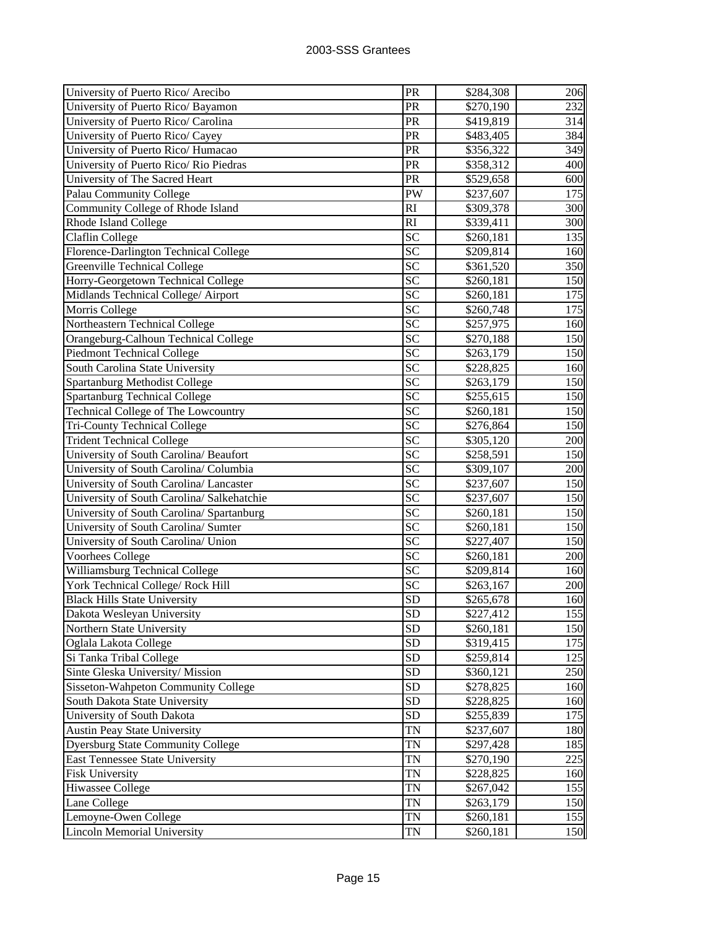| University of Puerto Rico/ Arecibo         | PR              | \$284,308             | 206 |
|--------------------------------------------|-----------------|-----------------------|-----|
| University of Puerto Rico/ Bayamon         | PR              | \$270,190             | 232 |
| University of Puerto Rico/ Carolina        | PR              | \$419,819             | 314 |
| University of Puerto Rico/ Cayey           | PR              | \$483,405             | 384 |
| University of Puerto Rico/ Humacao         | PR              | \$356,322             | 349 |
| University of Puerto Rico/ Rio Piedras     | PR              | \$358,312             | 400 |
| University of The Sacred Heart             | PR              | \$529,658             | 600 |
| <b>Palau Community College</b>             | PW              | \$237,607             | 175 |
| Community College of Rhode Island          | RI              | \$309,378             | 300 |
| Rhode Island College                       | RI              | \$339,411             | 300 |
| Claflin College                            | <b>SC</b>       | \$260,181             | 135 |
| Florence-Darlington Technical College      | SC              | \$209,814             | 160 |
| <b>Greenville Technical College</b>        | SC              | \$361,520             | 350 |
| Horry-Georgetown Technical College         | SC              | \$260,181             | 150 |
| Midlands Technical College/ Airport        | <b>SC</b>       | \$260,181             | 175 |
| Morris College                             | <b>SC</b>       | \$260,748             | 175 |
| Northeastern Technical College             | $\overline{SC}$ | \$257,975             | 160 |
| Orangeburg-Calhoun Technical College       | $\overline{SC}$ | \$270,188             | 150 |
| <b>Piedmont Technical College</b>          | SC              | \$263,179             | 150 |
| South Carolina State University            | SC              | \$228,825             | 160 |
| <b>Spartanburg Methodist College</b>       | SC              | \$263,179             | 150 |
| <b>Spartanburg Technical College</b>       | <b>SC</b>       | \$255,615             | 150 |
| Technical College of The Lowcountry        | <b>SC</b>       | \$260,181             | 150 |
| <b>Tri-County Technical College</b>        | <b>SC</b>       | \$276,864             | 150 |
| <b>Trident Technical College</b>           | <b>SC</b>       | \$305,120             | 200 |
| University of South Carolina/ Beaufort     | SC              | \$258,591             | 150 |
| University of South Carolina/ Columbia     | <b>SC</b>       | \$309,107             | 200 |
| University of South Carolina/ Lancaster    | SC              | \$237,607             | 150 |
| University of South Carolina/ Salkehatchie | SC              | \$237,607             | 150 |
| University of South Carolina/ Spartanburg  | $\overline{SC}$ | \$260,181             | 150 |
| University of South Carolina/ Sumter       | $\overline{SC}$ | \$260,181             | 150 |
| University of South Carolina/ Union        | SC              | \$227,407             | 150 |
| Voorhees College                           | <b>SC</b>       | \$260,181             | 200 |
| Williamsburg Technical College             | $\overline{SC}$ | \$209,814             | 160 |
| York Technical College/ Rock Hill          | $\overline{SC}$ | \$263,167             | 200 |
| <b>Black Hills State University</b>        | <b>SD</b>       | \$265,678             | 160 |
| Dakota Wesleyan University                 | $\overline{SD}$ | \$227,412             | 155 |
| Northern State University                  | <b>SD</b>       | \$260,181             | 150 |
| Oglala Lakota College                      | <b>SD</b>       | \$319,415             | 175 |
| Si Tanka Tribal College                    | <b>SD</b>       | \$259,814             | 125 |
| Sinte Gleska University/ Mission           | <b>SD</b>       | \$360,121             | 250 |
| Sisseton-Wahpeton Community College        | <b>SD</b>       | \$278,825             | 160 |
| South Dakota State University              | <b>SD</b>       | \$228,825             | 160 |
| University of South Dakota                 | <b>SD</b>       | \$255,839             | 175 |
| <b>Austin Peay State University</b>        | <b>TN</b>       | \$237,607             | 180 |
| <b>Dyersburg State Community College</b>   | TN              | $\overline{$}297,428$ | 185 |
| <b>East Tennessee State University</b>     | <b>TN</b>       | \$270,190             | 225 |
| <b>Fisk University</b>                     | TN              | \$228,825             | 160 |
| Hiwassee College                           | TN              | \$267,042             | 155 |
| Lane College                               | TN              | \$263,179             | 150 |
| Lemoyne-Owen College                       | $\mathbf{TN}$   | \$260,181             | 155 |
| <b>Lincoln Memorial University</b>         | TN              | \$260,181             | 150 |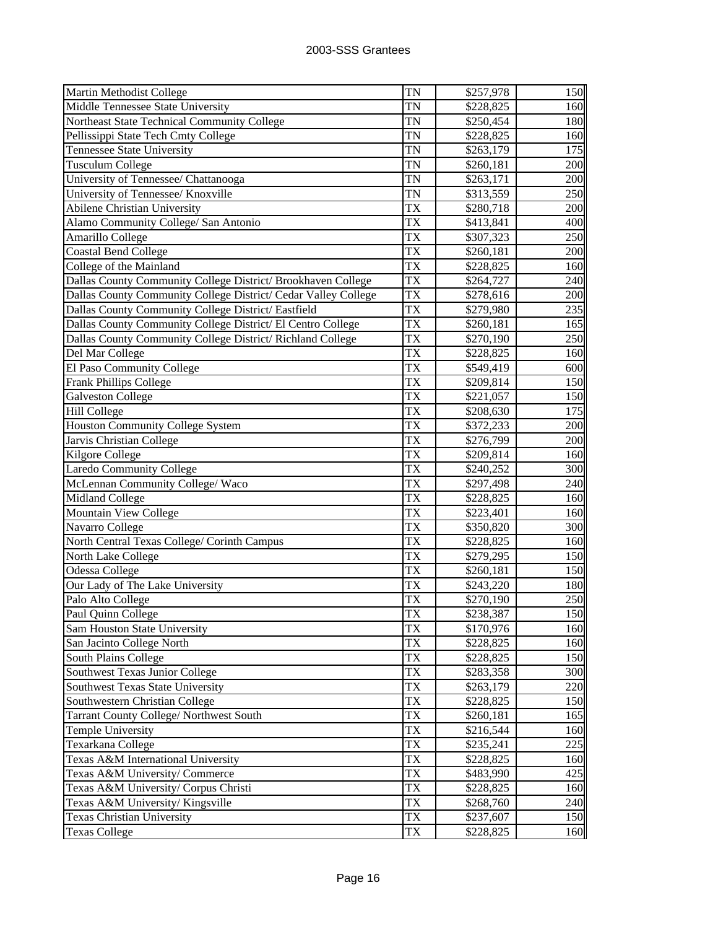| Martin Methodist College                                       | <b>TN</b> | \$257,978             | 150        |
|----------------------------------------------------------------|-----------|-----------------------|------------|
| Middle Tennessee State University                              | TN        | \$228,825             | 160        |
| Northeast State Technical Community College                    | TN        | \$250,454             | <b>180</b> |
| Pellissippi State Tech Cmty College                            | TN        | \$228,825             | 160        |
| <b>Tennessee State University</b>                              | TN        | \$263,179             | 175        |
| <b>Tusculum College</b>                                        | TN        | \$260,181             | 200        |
| University of Tennessee/ Chattanooga                           | TN        | \$263,171             | 200        |
| University of Tennessee/ Knoxville                             | <b>TN</b> | \$313,559             | 250        |
| Abilene Christian University                                   | TX        | \$280,718             | 200        |
| Alamo Community College/ San Antonio                           | TX        | \$413,841             | 400        |
| Amarillo College                                               | <b>TX</b> | \$307,323             | 250        |
| <b>Coastal Bend College</b>                                    | <b>TX</b> | \$260,181             | 200        |
| College of the Mainland                                        | <b>TX</b> | \$228,825             | 160        |
| Dallas County Community College District/ Brookhaven College   | TX        | \$264,727             | 240        |
| Dallas County Community College District/ Cedar Valley College | <b>TX</b> | \$278,616             | 200        |
| Dallas County Community College District/ Eastfield            | <b>TX</b> | \$279,980             | 235        |
| Dallas County Community College District/ El Centro College    | TX        | \$260,181             | 165        |
| Dallas County Community College District/Richland College      | <b>TX</b> | \$270,190             | 250        |
| Del Mar College                                                | TX        | \$228,825             | 160        |
| El Paso Community College                                      | TX        | \$549,419             | 600        |
| <b>Frank Phillips College</b>                                  | TX        | \$209,814             | 150        |
| <b>Galveston College</b>                                       | TX        | \$221,057             | 150        |
| <b>Hill College</b>                                            | <b>TX</b> | \$208,630             | 175        |
| <b>Houston Community College System</b>                        | TX        | \$372,233             | 200        |
| Jarvis Christian College                                       | TX        | \$276,799             | 200        |
| Kilgore College                                                | TX        | \$209,814             | 160        |
| <b>Laredo Community College</b>                                | TX        | \$240,252             | 300        |
| McLennan Community College/ Waco                               | TX        | $\overline{$}297,498$ | 240        |
| <b>Midland College</b>                                         | TX        | \$228,825             | 160        |
| Mountain View College                                          | TX        | \$223,401             | 160        |
| Navarro College                                                | TX        | \$350,820             | 300        |
| North Central Texas College/ Corinth Campus                    | TX        | \$228,825             | 160        |
| North Lake College                                             | TX        | \$279,295             | 150        |
| Odessa College                                                 | TX        | \$260,181             | 150        |
| Our Lady of The Lake University                                | TX        | \$243,220             | 180        |
| Palo Alto College                                              | TX        | \$270,190             | 250        |
| Paul Quinn College                                             | TX        | \$238,387             | <b>150</b> |
| Sam Houston State University                                   | TX        | \$170,976             | 160        |
| San Jacinto College North                                      | TX        | \$228,825             | 160        |
| South Plains College                                           | TX        | \$228,825             | 150        |
| Southwest Texas Junior College                                 | <b>TX</b> | \$283,358             | 300        |
| Southwest Texas State University                               | TX        | \$263,179             | 220        |
| Southwestern Christian College                                 | TX        | \$228,825             | 150        |
| Tarrant County College/ Northwest South                        | TX        | \$260,181             | 165        |
| Temple University                                              | TX        | \$216,544             | 160        |
| Texarkana College                                              | TX        | \$235,241             | 225        |
| Texas A&M International University                             | TX        | \$228,825             | 160        |
| Texas A&M University/ Commerce                                 | TX        | \$483,990             | 425        |
| Texas A&M University/ Corpus Christi                           | <b>TX</b> | \$228,825             | 160        |
| Texas A&M University/ Kingsville                               | TX        | \$268,760             | 240        |
| <b>Texas Christian University</b>                              | TX        | \$237,607             | 150        |
| <b>Texas College</b>                                           | TX        | \$228,825             | 160        |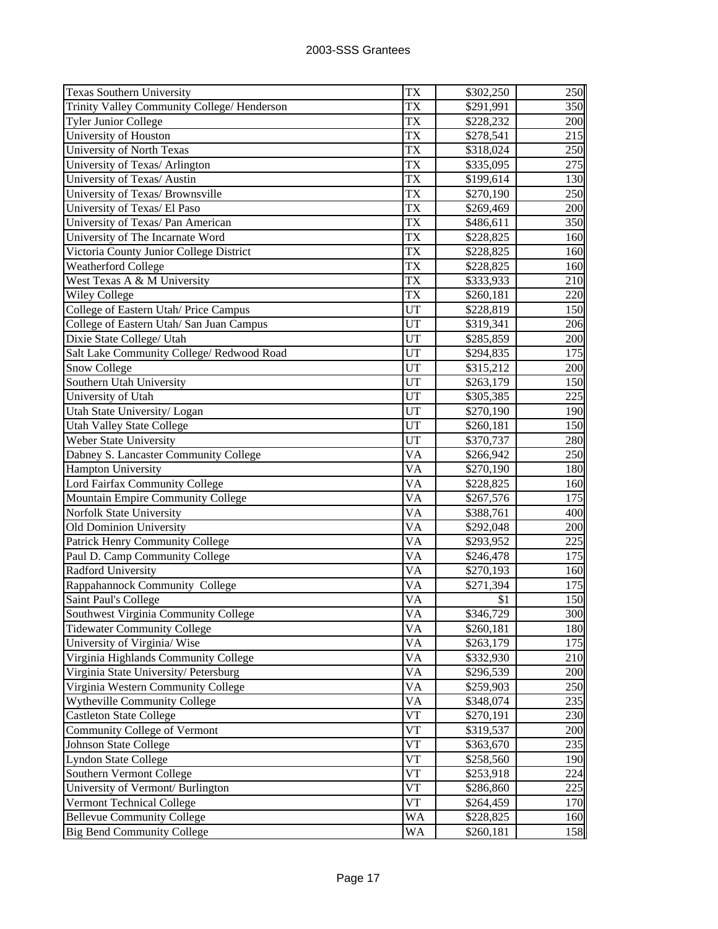| <b>Texas Southern University</b>                                | TX                     | \$302,250 | 250 |
|-----------------------------------------------------------------|------------------------|-----------|-----|
| Trinity Valley Community College/ Henderson                     | TX                     | \$291,991 | 350 |
| <b>Tyler Junior College</b>                                     | TX                     | \$228,232 | 200 |
| University of Houston                                           | TX                     | \$278,541 | 215 |
| University of North Texas                                       | TX                     | \$318,024 | 250 |
| University of Texas/ Arlington                                  | TX                     | \$335,095 | 275 |
| University of Texas/ Austin                                     | TX                     | \$199,614 | 130 |
| University of Texas/ Brownsville                                | <b>TX</b>              | \$270,190 | 250 |
| University of Texas/ El Paso                                    | TX                     | \$269,469 | 200 |
| University of Texas/ Pan American                               | TX                     | \$486,611 | 350 |
| University of The Incarnate Word                                | TX                     | \$228,825 | 160 |
| Victoria County Junior College District                         | TX                     | \$228,825 | 160 |
| <b>Weatherford College</b>                                      | TX                     | \$228,825 | 160 |
| West Texas A & M University                                     | TX                     | \$333,933 | 210 |
| <b>Wiley College</b>                                            | TX                     | \$260,181 | 220 |
| College of Eastern Utah/ Price Campus                           | UT                     | \$228,819 | 150 |
| College of Eastern Utah/ San Juan Campus                        | UT                     | \$319,341 | 206 |
| Dixie State College/ Utah                                       | UT                     | \$285,859 | 200 |
| Salt Lake Community College/ Redwood Road                       | UT                     | \$294,835 | 175 |
| <b>Snow College</b>                                             | UT                     | \$315,212 | 200 |
| Southern Utah University                                        | UT                     | \$263,179 | 150 |
| University of Utah                                              | UT                     | \$305,385 | 225 |
| Utah State University/Logan                                     | UT                     | \$270,190 | 190 |
| <b>Utah Valley State College</b>                                | UT                     | \$260,181 | 150 |
| Weber State University                                          | $\overline{\text{U}}$  | \$370,737 | 280 |
| Dabney S. Lancaster Community College                           | VA                     | \$266,942 | 250 |
| <b>Hampton University</b>                                       | VA                     | \$270,190 | 180 |
| Lord Fairfax Community College                                  | VA                     | \$228,825 | 160 |
| Mountain Empire Community College                               | VA                     | \$267,576 | 175 |
| Norfolk State University                                        | $\overline{\text{VA}}$ | \$388,761 | 400 |
| <b>Old Dominion University</b>                                  | VA                     | \$292,048 | 200 |
| Patrick Henry Community College                                 | VA                     | \$293,952 | 225 |
| Paul D. Camp Community College                                  | VA                     | \$246,478 | 175 |
| <b>Radford University</b>                                       | VA                     | \$270,193 | 160 |
| Rappahannock Community College                                  | VA                     | \$271,394 | 175 |
| Saint Paul's College                                            | VA                     | \$1       | 150 |
| Southwest Virginia Community College                            | $\overline{\text{VA}}$ | \$346,729 | 300 |
| <b>Tidewater Community College</b>                              | VA                     | \$260,181 | 180 |
| University of Virginia/Wise                                     | VA                     | \$263,179 | 175 |
| Virginia Highlands Community College                            | VA                     | \$332,930 | 210 |
| Virginia State University/Petersburg                            | VA                     | \$296,539 | 200 |
| Virginia Western Community College                              | VA                     | \$259,903 | 250 |
| Wytheville Community College                                    | VA                     | \$348,074 | 235 |
| <b>Castleton State College</b>                                  | V T                    | \$270,191 | 230 |
| Community College of Vermont                                    | V T                    | \$319,537 | 200 |
| <b>Johnson State College</b>                                    | V T                    | \$363,670 | 235 |
| <b>Lyndon State College</b>                                     | V T                    | \$258,560 | 190 |
| Southern Vermont College                                        | V T                    | \$253,918 | 224 |
| University of Vermont/ Burlington                               | V T                    | \$286,860 | 225 |
| Vermont Technical College                                       | $V\bar{T}$             | \$264,459 | 170 |
|                                                                 |                        |           |     |
| <b>Bellevue Community College</b><br>Big Bend Community College | WA                     | \$228,825 | 160 |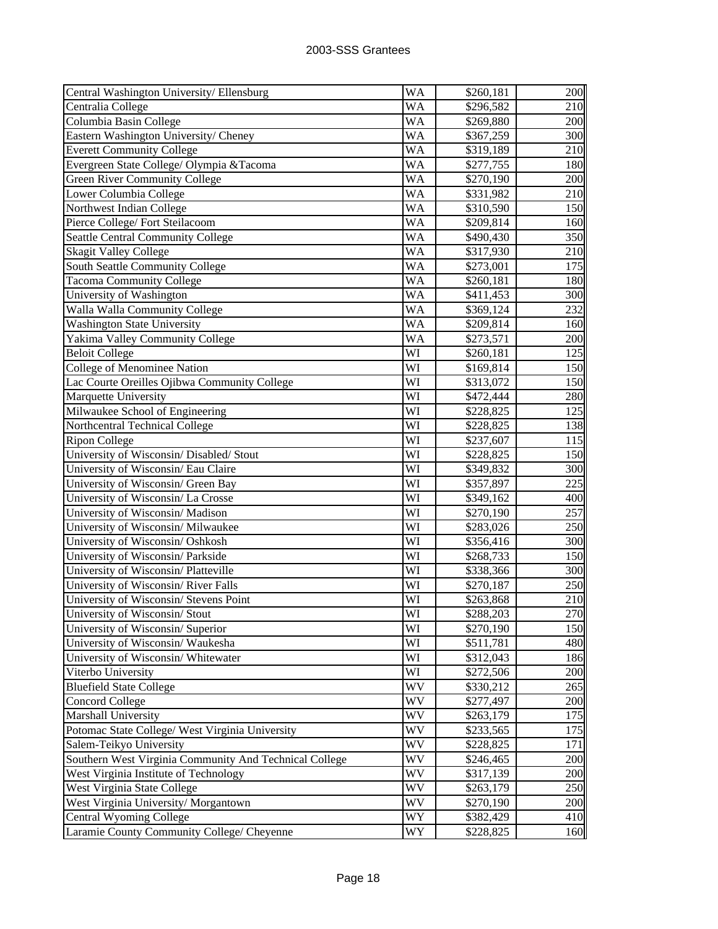| Central Washington University/Ellensburg               | WA | \$260,181             | 200             |
|--------------------------------------------------------|----|-----------------------|-----------------|
| Centralia College                                      | WA | \$296,582             | 210             |
| Columbia Basin College                                 | WA | \$269,880             | 200             |
| Eastern Washington University/ Cheney                  | WA | \$367,259             | 300             |
| <b>Everett Community College</b>                       | WA | \$319,189             | 210             |
| Evergreen State College/Olympia &Tacoma                | WA | \$277,755             | 180             |
| <b>Green River Community College</b>                   | WA | \$270,190             | 200             |
| Lower Columbia College                                 | WA | \$331,982             | 210             |
| Northwest Indian College                               | WA | \$310,590             | 150             |
| Pierce College/ Fort Steilacoom                        | WA | \$209,814             | 160             |
| <b>Seattle Central Community College</b>               | WA | \$490,430             | 350             |
| <b>Skagit Valley College</b>                           | WA | \$317,930             | 210             |
| South Seattle Community College                        | WA | \$273,001             | 175             |
| <b>Tacoma Community College</b>                        | WA | \$260,181             | 180             |
| University of Washington                               | WA | \$411,453             | 300             |
| Walla Walla Community College                          | WA | \$369,124             | 232             |
| <b>Washington State University</b>                     | WA | \$209,814             | 160             |
| Yakima Valley Community College                        | WA | \$273,571             | 200             |
| <b>Beloit College</b>                                  | WI | \$260,181             | 125             |
| College of Menominee Nation                            | WI | \$169,814             | 150             |
| Lac Courte Oreilles Ojibwa Community College           | WI | \$313,072             | 150             |
| Marquette University                                   | WI | \$472,444             | 280             |
| Milwaukee School of Engineering                        | WI | \$228,825             | 125             |
| Northcentral Technical College                         | WI | \$228,825             | 138             |
| <b>Ripon College</b>                                   | WI | \$237,607             | 115             |
| University of Wisconsin/ Disabled/ Stout               | WI | \$228,825             | 150             |
| University of Wisconsin/ Eau Claire                    | WI | \$349,832             | 300             |
| University of Wisconsin/ Green Bay                     | WI | \$357,897             | 225             |
| University of Wisconsin/La Crosse                      | WI | \$349,162             | 40 <sub>0</sub> |
| University of Wisconsin/ Madison                       | WI | \$270,190             | 257             |
| University of Wisconsin/ Milwaukee                     | WI | \$283,026             | 250             |
| University of Wisconsin/ Oshkosh                       | WI | \$356,416             | 300             |
| University of Wisconsin/ Parkside                      | WI | \$268,733             | 150             |
| University of Wisconsin/Platteville                    | WI | \$338,366             | 300             |
| University of Wisconsin/River Falls                    | WI | \$270,187             | 250             |
| University of Wisconsin/ Stevens Point                 | WI | \$263,868             | 210             |
| University of Wisconsin/ Stout                         | WI | $\overline{$288,203}$ | 270             |
| University of Wisconsin/ Superior                      | WI | \$270,190             | 150             |
| University of Wisconsin/Waukesha                       | WI | \$511,781             | 480             |
| University of Wisconsin/ Whitewater                    | WI | \$312,043             | 186             |
| Viterbo University                                     | WI | \$272,506             | 200             |
| <b>Bluefield State College</b>                         | WV | \$330,212             | 265             |
| <b>Concord College</b>                                 | WV | \$277,497             | 200             |
| Marshall University                                    | WV | \$263,179             | 175             |
| Potomac State College/ West Virginia University        | WV | \$233,565             | 175             |
| Salem-Teikyo University                                | WV | \$228,825             | 171             |
| Southern West Virginia Community And Technical College | WV | \$246,465             | 200             |
| West Virginia Institute of Technology                  | WV | \$317,139             | 200             |
| West Virginia State College                            | WV | \$263,179             | 250             |
| West Virginia University/Morgantown                    | WV | \$270,190             | 200             |
| Central Wyoming College                                | WY | \$382,429             | 410             |
| Laramie County Community College/ Cheyenne             | WY | \$228,825             | 160             |